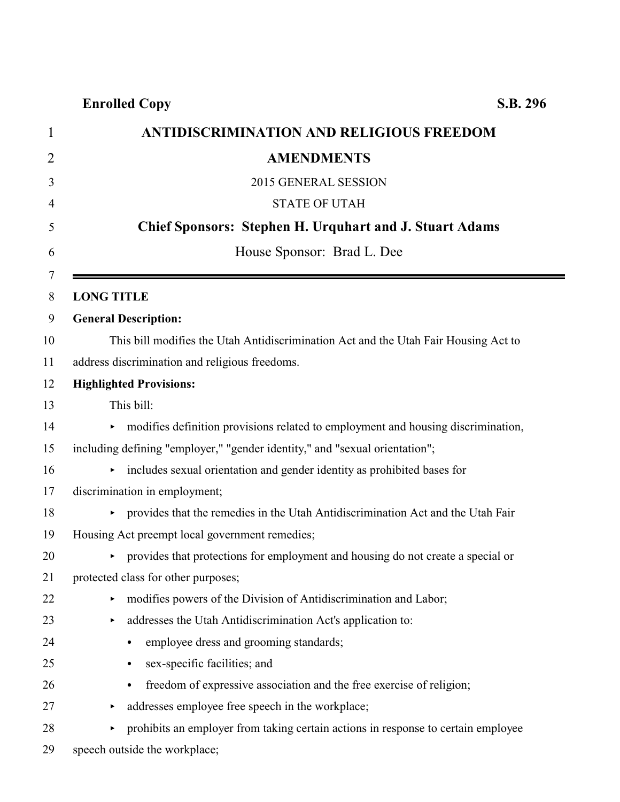| <b>ANTIDISCRIMINATION AND RELIGIOUS FREEDOM</b>                                     |
|-------------------------------------------------------------------------------------|
| <b>AMENDMENTS</b>                                                                   |
| 2015 GENERAL SESSION                                                                |
| <b>STATE OF UTAH</b>                                                                |
| <b>Chief Sponsors: Stephen H. Urquhart and J. Stuart Adams</b>                      |
| House Sponsor: Brad L. Dee                                                          |
| <b>LONG TITLE</b>                                                                   |
| <b>General Description:</b>                                                         |
| This bill modifies the Utah Antidiscrimination Act and the Utah Fair Housing Act to |
| address discrimination and religious freedoms.                                      |
| <b>Highlighted Provisions:</b>                                                      |
| This bill:                                                                          |
| • modifies definition provisions related to employment and housing discrimination,  |
| including defining "employer," "gender identity," and "sexual orientation";         |
| • includes sexual orientation and gender identity as prohibited bases for           |
| discrimination in employment;                                                       |
| • provides that the remedies in the Utah Antidiscrimination Act and the Utah Fair   |
| Housing Act preempt local government remedies;                                      |
| • provides that protections for employment and housing do not create a special or   |
| protected class for other purposes;                                                 |
| modifies powers of the Division of Antidiscrimination and Labor;<br>▶               |
| addresses the Utah Antidiscrimination Act's application to:<br>▶                    |
| employee dress and grooming standards;<br>$\bullet$                                 |
| sex-specific facilities; and<br>$\bullet$                                           |
| freedom of expressive association and the free exercise of religion;<br>$\bullet$   |
| addresses employee free speech in the workplace;                                    |
| prohibits an employer from taking certain actions in response to certain employee   |

speech outside the workplace;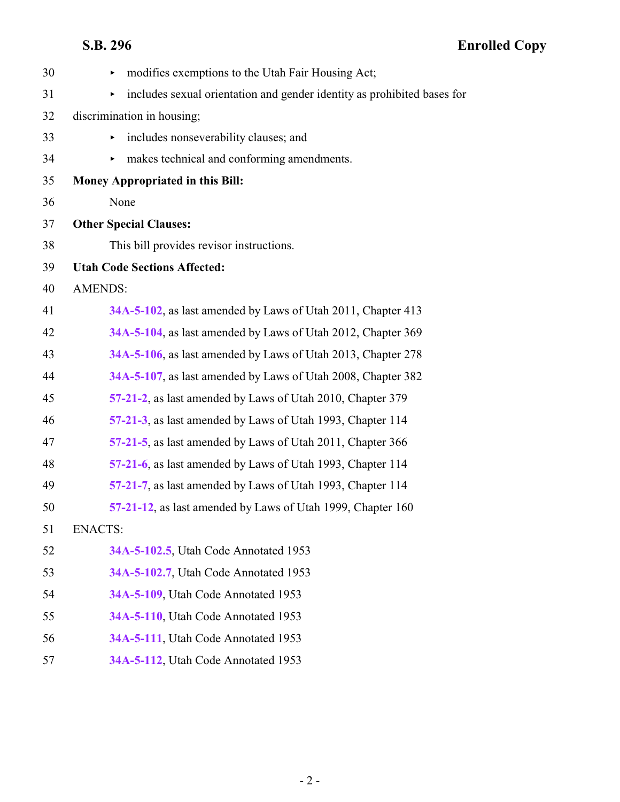| 30 | modifies exemptions to the Utah Fair Housing Act;<br>▶                       |
|----|------------------------------------------------------------------------------|
| 31 | includes sexual orientation and gender identity as prohibited bases for<br>▶ |
| 32 | discrimination in housing;                                                   |
| 33 | includes nonseverability clauses; and                                        |
| 34 | makes technical and conforming amendments.<br>▶                              |
| 35 | <b>Money Appropriated in this Bill:</b>                                      |
| 36 | None                                                                         |
| 37 | <b>Other Special Clauses:</b>                                                |
| 38 | This bill provides revisor instructions.                                     |
| 39 | <b>Utah Code Sections Affected:</b>                                          |
| 40 | <b>AMENDS:</b>                                                               |
| 41 | 34A-5-102, as last amended by Laws of Utah 2011, Chapter 413                 |
| 42 | 34A-5-104, as last amended by Laws of Utah 2012, Chapter 369                 |
| 43 | 34A-5-106, as last amended by Laws of Utah 2013, Chapter 278                 |
| 44 | 34A-5-107, as last amended by Laws of Utah 2008, Chapter 382                 |
| 45 | 57-21-2, as last amended by Laws of Utah 2010, Chapter 379                   |
| 46 | 57-21-3, as last amended by Laws of Utah 1993, Chapter 114                   |
| 47 | 57-21-5, as last amended by Laws of Utah 2011, Chapter 366                   |
| 48 | 57-21-6, as last amended by Laws of Utah 1993, Chapter 114                   |
| 49 | 57-21-7, as last amended by Laws of Utah 1993, Chapter 114                   |
| 50 | 57-21-12, as last amended by Laws of Utah 1999, Chapter 160                  |
| 51 | <b>ENACTS:</b>                                                               |
| 52 | 34A-5-102.5, Utah Code Annotated 1953                                        |
| 53 | 34A-5-102.7, Utah Code Annotated 1953                                        |
| 54 | 34A-5-109, Utah Code Annotated 1953                                          |
| 55 | 34A-5-110, Utah Code Annotated 1953                                          |
| 56 | 34A-5-111, Utah Code Annotated 1953                                          |
| 57 | 34A-5-112, Utah Code Annotated 1953                                          |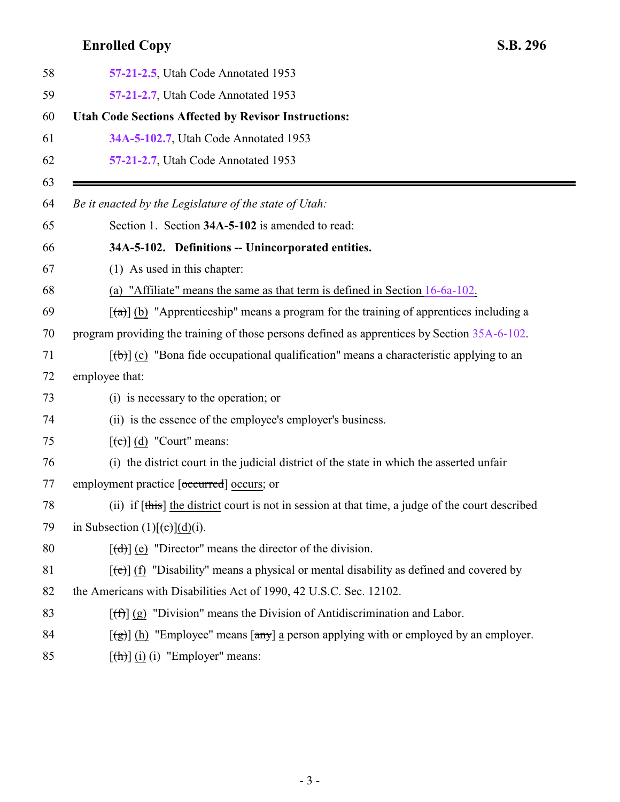<span id="page-2-0"></span>

| 57-21-2.5, Utah Code Annotated 1953                                                                                             |
|---------------------------------------------------------------------------------------------------------------------------------|
| 57-21-2.7, Utah Code Annotated 1953                                                                                             |
| <b>Utah Code Sections Affected by Revisor Instructions:</b>                                                                     |
| 34A-5-102.7, Utah Code Annotated 1953                                                                                           |
| 57-21-2.7, Utah Code Annotated 1953                                                                                             |
|                                                                                                                                 |
| Be it enacted by the Legislature of the state of Utah:                                                                          |
| Section 1. Section 34A-5-102 is amended to read:                                                                                |
| 34A-5-102. Definitions -- Unincorporated entities.                                                                              |
| (1) As used in this chapter:                                                                                                    |
| (a) "Affiliate" means the same as that term is defined in Section $16-6a-102$ .                                                 |
| $\left[\frac{1}{2}\right]$ (b) "Apprenticeship" means a program for the training of apprentices including a                     |
| program providing the training of those persons defined as apprentices by Section 35A-6-102.                                    |
| $[\langle \theta \rangle]$ (c) "Bona fide occupational qualification" means a characteristic applying to an                     |
| employee that:                                                                                                                  |
| (i) is necessary to the operation; or                                                                                           |
| (ii) is the essence of the employee's employer's business.                                                                      |
| $[\text{e}(\text{e})]$ (d) "Court" means:                                                                                       |
| (i) the district court in the judicial district of the state in which the asserted unfair                                       |
| employment practice [occurred] occurs; or                                                                                       |
| (ii) if [this] the district court is not in session at that time, a judge of the court described                                |
| in Subsection $(1)[(e)](d)(i)$ .                                                                                                |
| $[\text{(\text{d})}]$ (e) "Director" means the director of the division.                                                        |
| $[\text{et}]$ (f) "Disability" means a physical or mental disability as defined and covered by                                  |
| the Americans with Disabilities Act of 1990, 42 U.S.C. Sec. 12102.                                                              |
| $[\text{f} \hat{\theta}]$ (g) "Division" means the Division of Antidiscrimination and Labor.                                    |
| $\left[\frac{1}{2}\right]$ (h) "Employee" means $\left[\frac{any}{2}\right]$ a person applying with or employed by an employer. |
| $[\frac{h}{\ln}]$ (i) (i) "Employer" means:                                                                                     |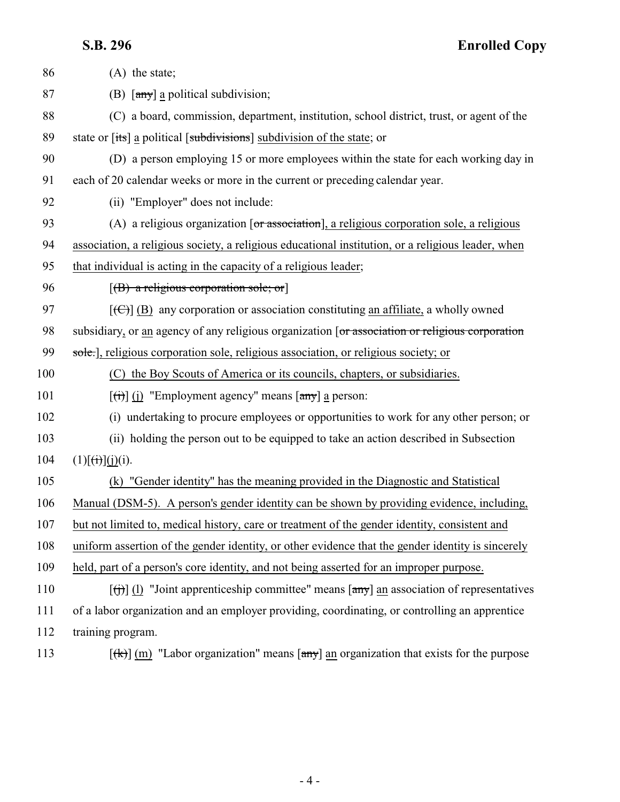| 86  | $(A)$ the state;                                                                                                                                 |
|-----|--------------------------------------------------------------------------------------------------------------------------------------------------|
| 87  | (B) $\left[\frac{any}{ay}\right]$ a political subdivision;                                                                                       |
| 88  | (C) a board, commission, department, institution, school district, trust, or agent of the                                                        |
| 89  | state or [its] a political [subdivisions] subdivision of the state; or                                                                           |
| 90  | (D) a person employing 15 or more employees within the state for each working day in                                                             |
| 91  | each of 20 calendar weeks or more in the current or preceding calendar year.                                                                     |
| 92  | (ii) "Employer" does not include:                                                                                                                |
| 93  | (A) a religious organization $\lceil$ or association], a religious corporation sole, a religious                                                 |
| 94  | association, a religious society, a religious educational institution, or a religious leader, when                                               |
| 95  | that individual is acting in the capacity of a religious leader;                                                                                 |
| 96  | $[({\bf B})$ a religious corporation sole; or                                                                                                    |
| 97  | $[\text{(\textcircled{f})}]$ (B) any corporation or association constituting an affiliate, a wholly owned                                        |
| 98  | subsidiary, or an agency of any religious organization [or association or religious corporation                                                  |
| 99  | sole.], religious corporation sole, religious association, or religious society; or                                                              |
| 100 | (C) the Boy Scouts of America or its councils, chapters, or subsidiaries.                                                                        |
| 101 | $\left[\frac{f(t)}{f(t)}\right]$ (j) "Employment agency" means $\left[\frac{f(t)}{f(t)}\right]$ a person:                                        |
| 102 | (i) undertaking to procure employees or opportunities to work for any other person; or                                                           |
| 103 | (ii) holding the person out to be equipped to take an action described in Subsection                                                             |
| 104 | $(1)[\overrightarrow{(t)}](\overrightarrow{j})(i).$                                                                                              |
| 105 | (k) "Gender identity" has the meaning provided in the Diagnostic and Statistical                                                                 |
| 106 | Manual (DSM-5). A person's gender identity can be shown by providing evidence, including,                                                        |
| 107 | but not limited to, medical history, care or treatment of the gender identity, consistent and                                                    |
| 108 | uniform assertion of the gender identity, or other evidence that the gender identity is sincerely                                                |
| 109 | held, part of a person's core identity, and not being asserted for an improper purpose.                                                          |
| 110 | $\left[\left(\frac{1}{1}\right)\right]$ (1) "Joint apprenticeship committee" means $\left[\frac{1}{2}m\right]$ an association of representatives |
| 111 | of a labor organization and an employer providing, coordinating, or controlling an apprentice                                                    |
| 112 | training program.                                                                                                                                |
|     |                                                                                                                                                  |

113  $[(k)] (m)$  "Labor organization" means  $[\text{any}]$  an organization that exists for the purpose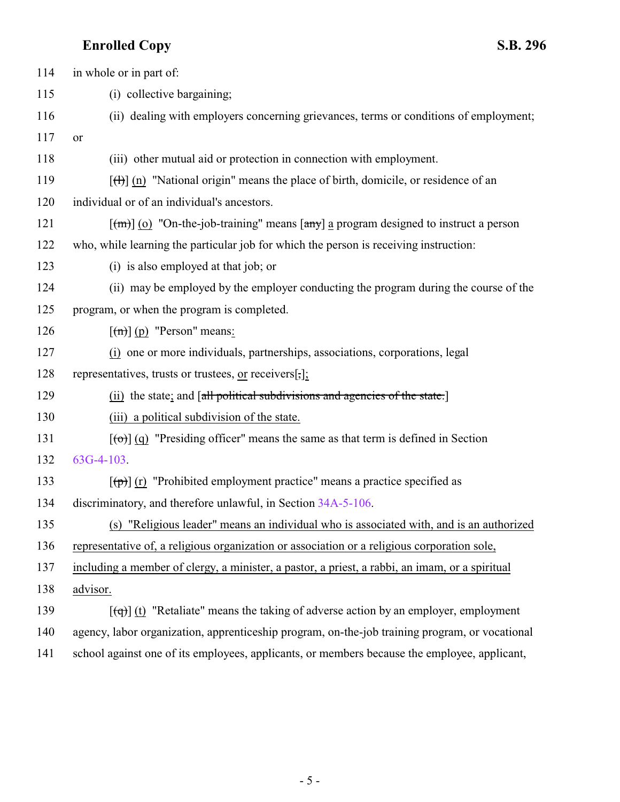| 114 | in whole or in part of:                                                                                               |
|-----|-----------------------------------------------------------------------------------------------------------------------|
| 115 | (i) collective bargaining;                                                                                            |
| 116 | (ii) dealing with employers concerning grievances, terms or conditions of employment;                                 |
| 117 | or                                                                                                                    |
| 118 | (iii) other mutual aid or protection in connection with employment.                                                   |
| 119 | $[\text{H}](n)$ "National origin" means the place of birth, domicile, or residence of an                              |
| 120 | individual or of an individual's ancestors.                                                                           |
| 121 | $\lceil$ (m) $\lceil$ (0) "On-the-job-training" means $\lceil$ any $\rceil$ a program designed to instruct a person   |
| 122 | who, while learning the particular job for which the person is receiving instruction:                                 |
| 123 | (i) is also employed at that job; or                                                                                  |
| 124 | (ii) may be employed by the employer conducting the program during the course of the                                  |
| 125 | program, or when the program is completed.                                                                            |
| 126 | $\lceil (m) \rceil$ (p) "Person" means:                                                                               |
| 127 | (i) one or more individuals, partnerships, associations, corporations, legal                                          |
| 128 | representatives, trusts or trustees, or receivers[,];                                                                 |
| 129 | (ii) the state; and [all political subdivisions and agencies of the state.]                                           |
| 130 | (iii) a political subdivision of the state.                                                                           |
| 131 | $\left[\left(\text{e}\right)\right]$ (q) "Presiding officer" means the same as that term is defined in Section        |
| 132 | $63G-4-103$ .                                                                                                         |
| 133 | $\left[\left(\frac{\theta}{\theta}\right)\right]$ (r) "Prohibited employment practice" means a practice specified as  |
| 134 | discriminatory, and therefore unlawful, in Section 34A-5-106.                                                         |
| 135 | (s) "Religious leader" means an individual who is associated with, and is an authorized                               |
| 136 | representative of, a religious organization or association or a religious corporation sole,                           |
| 137 | including a member of clergy, a minister, a pastor, a priest, a rabbi, an imam, or a spiritual                        |
| 138 | advisor.                                                                                                              |
| 139 | $\left[\left(\frac{1}{q}\right)\right]$ (t) "Retaliate" means the taking of adverse action by an employer, employment |
| 140 | agency, labor organization, apprenticeship program, on-the-job training program, or vocational                        |
| 141 | school against one of its employees, applicants, or members because the employee, applicant,                          |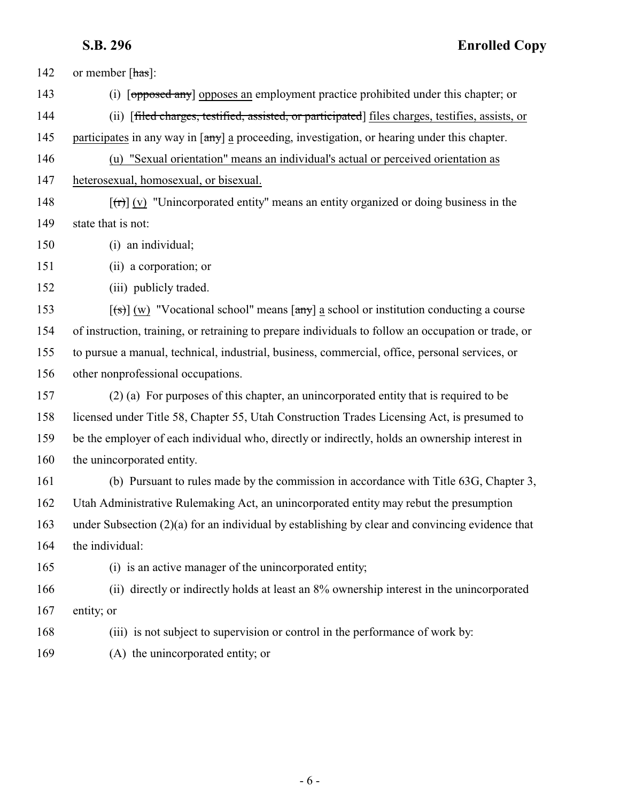142 or member [has]:

(i) [opposed any] opposes an employment practice prohibited under this chapter; or

(ii) [filed charges, testified, assisted, or participated] files charges, testifies, assists, or

145 participates in any way in  $\left[\frac{any}{n}\right]$  a proceeding, investigation, or hearing under this chapter.

 (u) "Sexual orientation" means an individual's actual or perceived orientation as heterosexual, homosexual, or bisexual.

148  $[(r)] (v)$  "Unincorporated entity" means an entity organized or doing business in the state that is not:

(i) an individual;

(ii) a corporation; or

(iii) publicly traded.

 $[(\ast)] (w)$  "Vocational school" means  $[\text{any}]$  a school or institution conducting a course of instruction, training, or retraining to prepare individuals to follow an occupation or trade, or to pursue a manual, technical, industrial, business, commercial, office, personal services, or other nonprofessional occupations.

 (2) (a) For purposes of this chapter, an unincorporated entity that is required to be licensed under Title 58, Chapter 55, Utah Construction Trades Licensing Act, is presumed to be the employer of each individual who, directly or indirectly, holds an ownership interest in the unincorporated entity.

 (b) Pursuant to rules made by the commission in accordance with Title 63G, Chapter 3, Utah Administrative Rulemaking Act, an unincorporated entity may rebut the presumption under Subsection (2)(a) for an individual by establishing by clear and convincing evidence that the individual:

(i) is an active manager of the unincorporated entity;

 (ii) directly or indirectly holds at least an 8% ownership interest in the unincorporated 167 entity; or

(iii) is not subject to supervision or control in the performance of work by:

(A) the unincorporated entity; or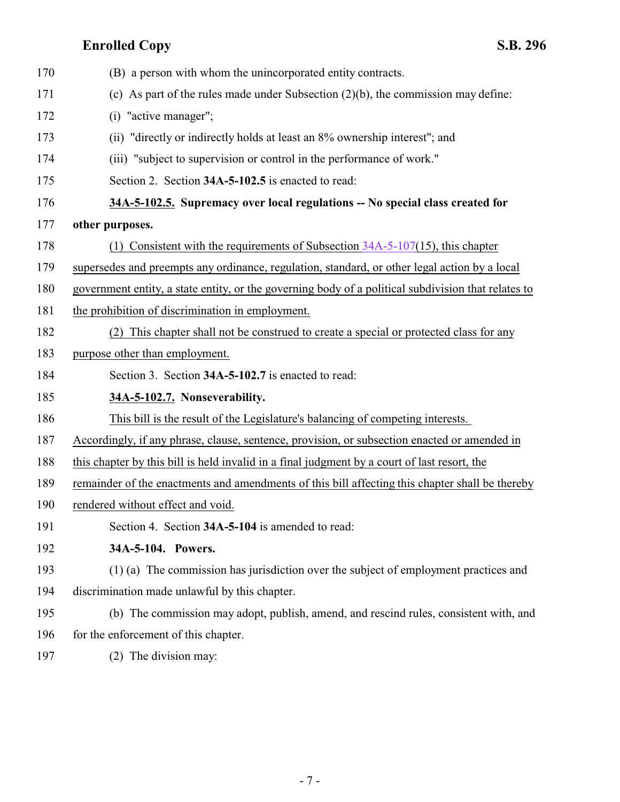<span id="page-6-2"></span><span id="page-6-1"></span><span id="page-6-0"></span>

| 170 | (B) a person with whom the unincorporated entity contracts.                                         |
|-----|-----------------------------------------------------------------------------------------------------|
| 171 | (c) As part of the rules made under Subsection $(2)(b)$ , the commission may define:                |
| 172 | (i) "active manager";                                                                               |
| 173 | (ii) "directly or indirectly holds at least an 8% ownership interest"; and                          |
| 174 | (iii) "subject to supervision or control in the performance of work."                               |
| 175 | Section 2. Section 34A-5-102.5 is enacted to read:                                                  |
| 176 | 34A-5-102.5. Supremacy over local regulations -- No special class created for                       |
| 177 | other purposes.                                                                                     |
| 178 | Consistent with the requirements of Subsection $34A-5-107(15)$ , this chapter<br>(1)                |
| 179 | supersedes and preempts any ordinance, regulation, standard, or other legal action by a local       |
| 180 | government entity, a state entity, or the governing body of a political subdivision that relates to |
| 181 | the prohibition of discrimination in employment.                                                    |
| 182 | This chapter shall not be construed to create a special or protected class for any<br>(2)           |
| 183 | purpose other than employment.                                                                      |
| 184 | Section 3. Section 34A-5-102.7 is enacted to read:                                                  |
| 185 | 34A-5-102.7. Nonseverability.                                                                       |
| 186 | This bill is the result of the Legislature's balancing of competing interests.                      |
| 187 | Accordingly, if any phrase, clause, sentence, provision, or subsection enacted or amended in        |
| 188 | this chapter by this bill is held invalid in a final judgment by a court of last resort, the        |
| 189 | remainder of the enactments and amendments of this bill affecting this chapter shall be thereby     |
| 190 | rendered without effect and void.                                                                   |
| 191 | Section 4. Section 34A-5-104 is amended to read:                                                    |
| 192 | 34A-5-104. Powers.                                                                                  |
| 193 | (1) (a) The commission has jurisdiction over the subject of employment practices and                |
| 194 | discrimination made unlawful by this chapter.                                                       |
| 195 | (b) The commission may adopt, publish, amend, and rescind rules, consistent with, and               |
| 196 | for the enforcement of this chapter.                                                                |
| 197 | (2) The division may:                                                                               |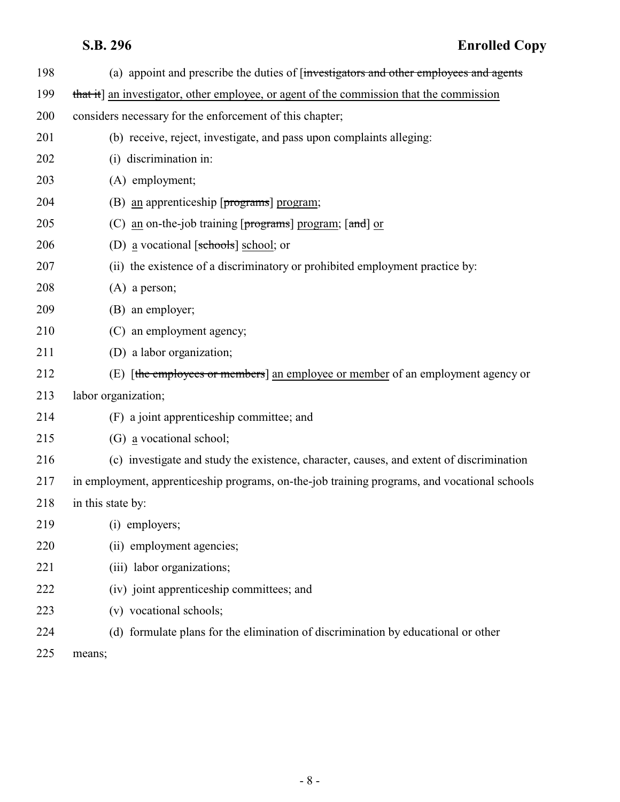| 198 | (a) appoint and prescribe the duties of finvestigators and other employees and agents        |
|-----|----------------------------------------------------------------------------------------------|
| 199 | that it] an investigator, other employee, or agent of the commission that the commission     |
| 200 | considers necessary for the enforcement of this chapter;                                     |
| 201 | (b) receive, reject, investigate, and pass upon complaints alleging:                         |
| 202 | (i) discrimination in:                                                                       |
| 203 | (A) employment;                                                                              |
| 204 | (B) an apprenticeship $[programs]$ program;                                                  |
| 205 | (C) an on-the-job training [programs] program; [and] or                                      |
| 206 | (D) a vocational [ $\frac{\text{sehood}}{\text{schools}}$ ] school; or                       |
| 207 | (ii) the existence of a discriminatory or prohibited employment practice by:                 |
| 208 | $(A)$ a person;                                                                              |
| 209 | (B) an employer;                                                                             |
| 210 | (C) an employment agency;                                                                    |
| 211 | (D) a labor organization;                                                                    |
| 212 | (E) [the employees or members] an employee or member of an employment agency or              |
| 213 | labor organization;                                                                          |
| 214 | (F) a joint apprenticeship committee; and                                                    |
| 215 | (G) a vocational school;                                                                     |
| 216 | (c) investigate and study the existence, character, causes, and extent of discrimination     |
| 217 | in employment, apprenticeship programs, on-the-job training programs, and vocational schools |
| 218 | in this state by:                                                                            |
| 219 | (i) employers;                                                                               |
| 220 | (ii) employment agencies;                                                                    |
| 221 | (iii) labor organizations;                                                                   |
| 222 | (iv) joint apprenticeship committees; and                                                    |
| 223 | (v) vocational schools;                                                                      |
| 224 | (d) formulate plans for the elimination of discrimination by educational or other            |
| 225 | means;                                                                                       |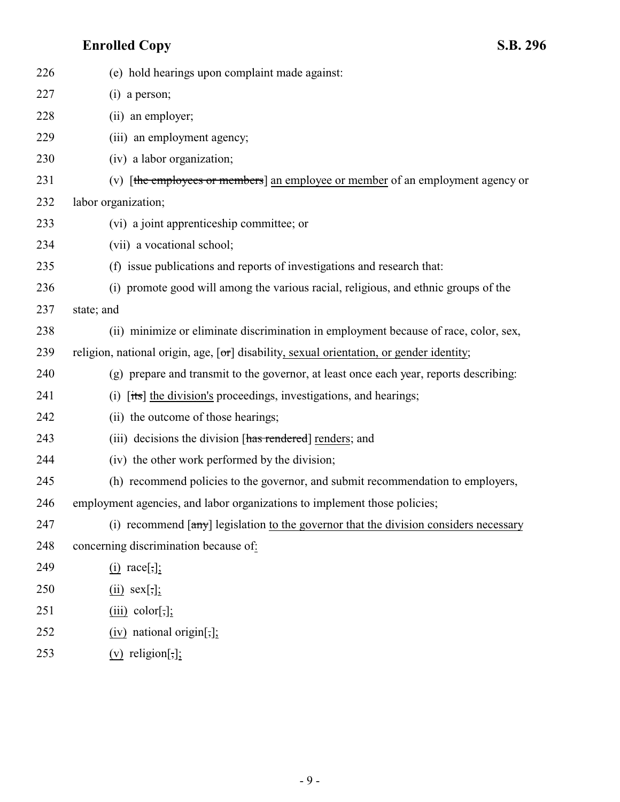| 226 | (e) hold hearings upon complaint made against:                                                               |
|-----|--------------------------------------------------------------------------------------------------------------|
| 227 | $(i)$ a person;                                                                                              |
| 228 | (ii) an employer;                                                                                            |
| 229 | (iii) an employment agency;                                                                                  |
| 230 | (iv) a labor organization;                                                                                   |
| 231 | (v) [the employees or members] an employee or member of an employment agency or                              |
| 232 | labor organization;                                                                                          |
| 233 | (vi) a joint apprenticeship committee; or                                                                    |
| 234 | (vii) a vocational school;                                                                                   |
| 235 | (f) issue publications and reports of investigations and research that:                                      |
| 236 | (i) promote good will among the various racial, religious, and ethnic groups of the                          |
| 237 | state; and                                                                                                   |
| 238 | (ii) minimize or eliminate discrimination in employment because of race, color, sex,                         |
| 239 | religion, national origin, age, $\lceil \sigma \rceil$ disability, sexual orientation, or gender identity;   |
| 240 | (g) prepare and transmit to the governor, at least once each year, reports describing:                       |
| 241 | [its] the division's proceedings, investigations, and hearings;<br>(i)                                       |
| 242 | (ii) the outcome of those hearings;                                                                          |
| 243 | (iii) decisions the division [has rendered] renders; and                                                     |
| 244 | (iv) the other work performed by the division;                                                               |
| 245 | (h) recommend policies to the governor, and submit recommendation to employers,                              |
| 246 | employment agencies, and labor organizations to implement those policies;                                    |
| 247 | (i) recommend $\left[\frac{any}{l}\right]$ legislation to the governor that the division considers necessary |
| 248 | concerning discrimination because of:                                                                        |
| 249 | $(i)$ race[,];                                                                                               |
| 250 | $(ii)$ sex[,];                                                                                               |
| 251 | $(iii)$ color[;];                                                                                            |
| 252 | $(iv)$ national origin[,];                                                                                   |
|     |                                                                                                              |

253  $(v)$  religion[;];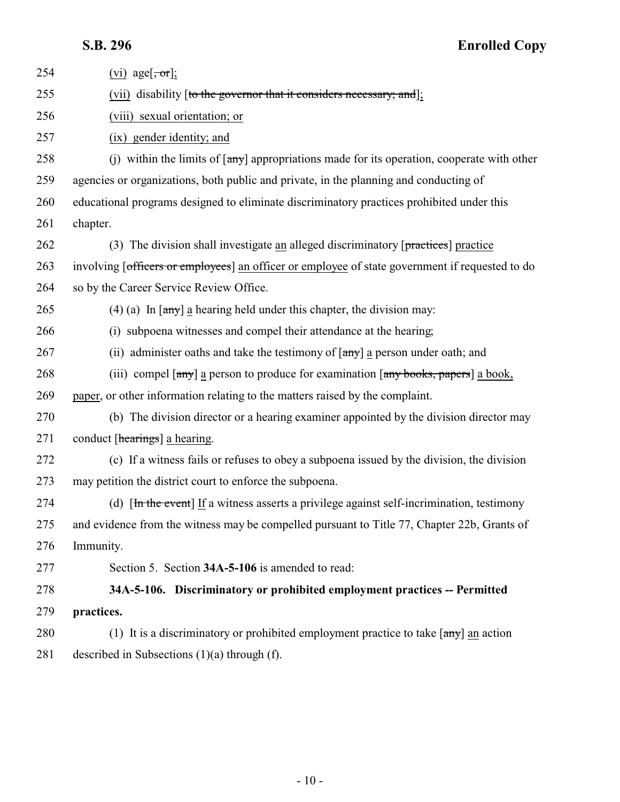<span id="page-9-0"></span>

| 254 | (vi) age $[\overline{\text{or}}]$ ;                                                                                                    |
|-----|----------------------------------------------------------------------------------------------------------------------------------------|
| 255 | (vii) disability [to the governor that it considers necessary; and];                                                                   |
| 256 | (viii) sexual orientation; or                                                                                                          |
| 257 | (ix) gender identity; and                                                                                                              |
| 258 | (j) within the limits of $[\frac{any}{n}]$ appropriations made for its operation, cooperate with other                                 |
| 259 | agencies or organizations, both public and private, in the planning and conducting of                                                  |
| 260 | educational programs designed to eliminate discriminatory practices prohibited under this                                              |
| 261 | chapter.                                                                                                                               |
| 262 | (3) The division shall investigate an alleged discriminatory $[\text{practices}]$ practice                                             |
| 263 | involving [officers or employees] an officer or employee of state government if requested to do                                        |
| 264 | so by the Career Service Review Office.                                                                                                |
| 265 | (4) (a) In $\lceil \frac{any}{2} \rceil$ a hearing held under this chapter, the division may:                                          |
| 266 | (i) subpoena witnesses and compel their attendance at the hearing;                                                                     |
| 267 | (ii) administer oaths and take the testimony of $\lceil \frac{any}{n} \rceil$ a person under oath; and                                 |
| 268 | (iii) compel $\lceil \frac{any}{any} \rceil$ a person to produce for examination $\lceil \frac{any \text{ books}}{any} \rceil$ a book, |
| 269 | paper, or other information relating to the matters raised by the complaint.                                                           |
| 270 | (b) The division director or a hearing examiner appointed by the division director may                                                 |
| 271 | conduct [hearings] a hearing.                                                                                                          |
| 272 | (c) If a witness fails or refuses to obey a subpoena issued by the division, the division                                              |
| 273 | may petition the district court to enforce the subpoena.                                                                               |
| 274 | (d) $[\text{In the event}]$ If a witness asserts a privilege against self-incrimination, testimony                                     |
| 275 | and evidence from the witness may be compelled pursuant to Title 77, Chapter 22b, Grants of                                            |
| 276 | Immunity.                                                                                                                              |
| 277 | Section 5. Section 34A-5-106 is amended to read:                                                                                       |
| 278 | 34A-5-106. Discriminatory or prohibited employment practices -- Permitted                                                              |
| 279 | practices.                                                                                                                             |
| 280 | (1) It is a discriminatory or prohibited employment practice to take $[\text{any}]$ an action                                          |
| 281 | described in Subsections $(1)(a)$ through $(f)$ .                                                                                      |
|     |                                                                                                                                        |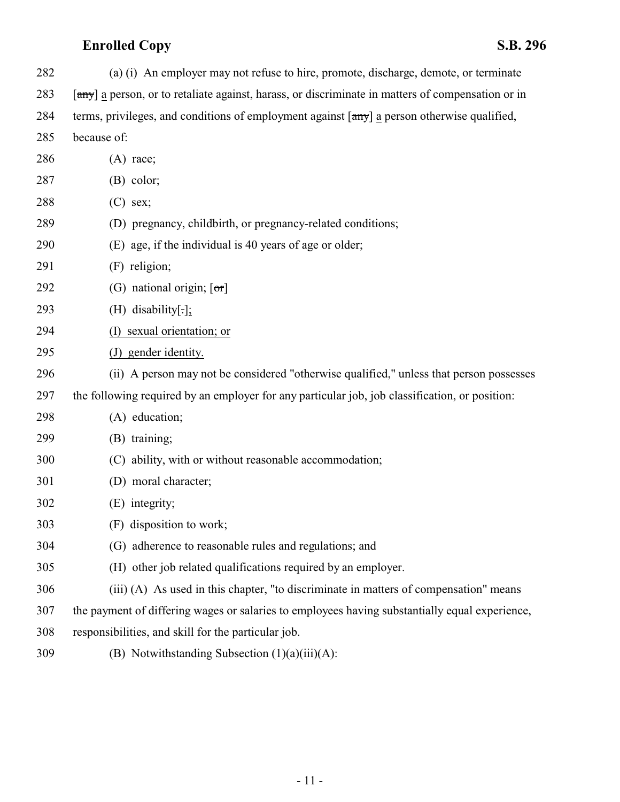| 282 | (a) (i) An employer may not refuse to hire, promote, discharge, demote, or terminate                                |
|-----|---------------------------------------------------------------------------------------------------------------------|
| 283 | [any] a person, or to retaliate against, harass, or discriminate in matters of compensation or in                   |
| 284 | terms, privileges, and conditions of employment against $\lceil \frac{any}{n} \rceil$ a person otherwise qualified, |
| 285 | because of:                                                                                                         |
| 286 | $(A)$ race;                                                                                                         |
| 287 | $(B)$ color;                                                                                                        |
| 288 | $(C)$ sex;                                                                                                          |
| 289 | (D) pregnancy, childbirth, or pregnancy-related conditions;                                                         |
| 290 | (E) age, if the individual is 40 years of age or older;                                                             |
| 291 | (F) religion;                                                                                                       |
| 292 | (G) national origin; $\lceil \sigma r \rceil$                                                                       |
| 293 | $(H)$ disability[.];                                                                                                |
| 294 | (I) sexual orientation; or                                                                                          |
| 295 | (J) gender identity.                                                                                                |
| 296 | (ii) A person may not be considered "otherwise qualified," unless that person possesses                             |
| 297 | the following required by an employer for any particular job, job classification, or position:                      |
| 298 | (A) education;                                                                                                      |
| 299 | (B) training;                                                                                                       |
| 300 | (C) ability, with or without reasonable accommodation;                                                              |
| 301 | (D) moral character;                                                                                                |
| 302 | (E) integrity;                                                                                                      |
| 303 | (F) disposition to work;                                                                                            |
| 304 | (G) adherence to reasonable rules and regulations; and                                                              |
| 305 | (H) other job related qualifications required by an employer.                                                       |
| 306 | (iii) (A) As used in this chapter, "to discriminate in matters of compensation" means                               |
| 307 | the payment of differing wages or salaries to employees having substantially equal experience,                      |
| 308 | responsibilities, and skill for the particular job.                                                                 |
| 309 | (B) Notwithstanding Subsection $(1)(a)(iii)(A)$ :                                                                   |
|     |                                                                                                                     |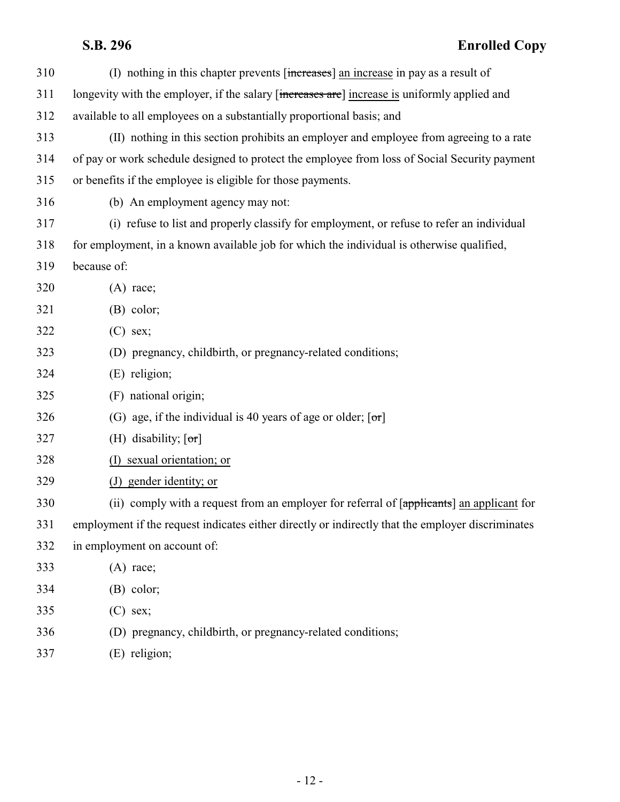| 310 | (I) nothing in this chapter prevents [increases] an increase in pay as a result of                |
|-----|---------------------------------------------------------------------------------------------------|
| 311 | longevity with the employer, if the salary [increases are] increase is uniformly applied and      |
| 312 | available to all employees on a substantially proportional basis; and                             |
| 313 | (II) nothing in this section prohibits an employer and employee from agreeing to a rate           |
| 314 | of pay or work schedule designed to protect the employee from loss of Social Security payment     |
| 315 | or benefits if the employee is eligible for those payments.                                       |
| 316 | (b) An employment agency may not:                                                                 |
| 317 | (i) refuse to list and properly classify for employment, or refuse to refer an individual         |
| 318 | for employment, in a known available job for which the individual is otherwise qualified,         |
| 319 | because of:                                                                                       |
| 320 | $(A)$ race;                                                                                       |
| 321 | $(B)$ color;                                                                                      |
| 322 | $(C)$ sex;                                                                                        |
| 323 | (D) pregnancy, childbirth, or pregnancy-related conditions;                                       |
| 324 | (E) religion;                                                                                     |
| 325 | (F) national origin;                                                                              |
| 326 | (G) age, if the individual is 40 years of age or older; $[\sigma r]$                              |
| 327 | (H) disability; $[\sigma r]$                                                                      |
| 328 | (I) sexual orientation; or                                                                        |
| 329 | (J) gender identity; or                                                                           |
| 330 | (ii) comply with a request from an employer for referral of [applicants] an applicant for         |
| 331 | employment if the request indicates either directly or indirectly that the employer discriminates |
| 332 | in employment on account of:                                                                      |
| 333 | $(A)$ race;                                                                                       |
| 334 | $(B)$ color;                                                                                      |
| 335 | $(C)$ sex;                                                                                        |
| 336 | (D) pregnancy, childbirth, or pregnancy-related conditions;                                       |
| 337 | (E) religion;                                                                                     |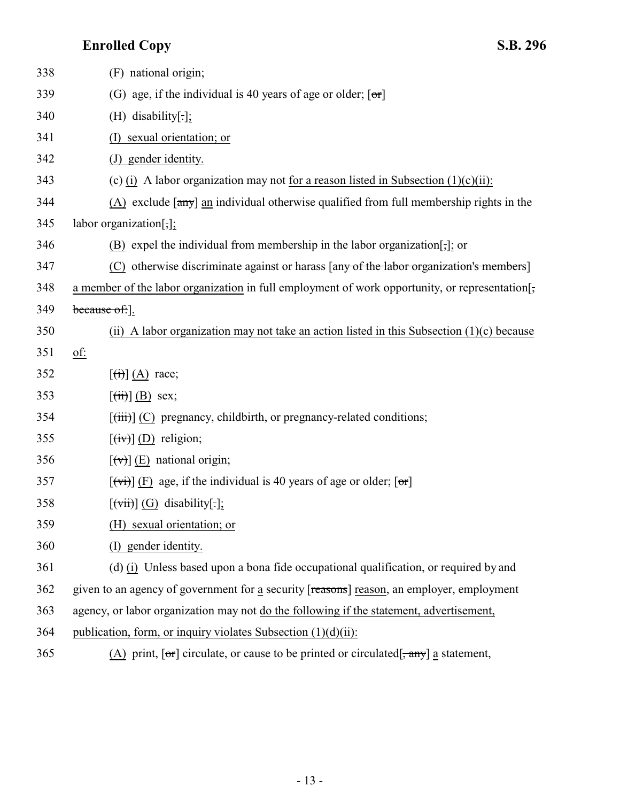| 338 | (F) national origin;                                                                                                                                                |
|-----|---------------------------------------------------------------------------------------------------------------------------------------------------------------------|
| 339 | (G) age, if the individual is 40 years of age or older; $[\sigma r]$                                                                                                |
| 340 | (H) disability[ $.$ ];                                                                                                                                              |
| 341 | sexual orientation; or                                                                                                                                              |
| 342 | (J) gender identity.                                                                                                                                                |
| 343 | (c) (i) A labor organization may not for a reason listed in Subsection $(1)(c)(ii)$ :                                                                               |
| 344 | (A) exclude $\lceil \frac{any}{n} \rceil$ an individual otherwise qualified from full membership rights in the                                                      |
| 345 | labor organization[,];                                                                                                                                              |
| 346 | (B) expel the individual from membership in the labor organization[,]; or                                                                                           |
| 347 | (C) otherwise discriminate against or harass $\left[\frac{any \text{ of the labor organization's members}}{any \text{ of the labor organization's members}}\right]$ |
| 348 | a member of the labor organization in full employment of work opportunity, or representation[;                                                                      |
| 349 | because of: ].                                                                                                                                                      |
| 350 | (ii) A labor organization may not take an action listed in this Subsection $(1)(c)$ because                                                                         |
| 351 | <u>of:</u>                                                                                                                                                          |
| 352 | $\left[\left(\overrightarrow{\mathbf{t}}\right)\right]$ (A) race;                                                                                                   |
| 353 | $\left[\left(\overrightarrow{ii}\right)\right]$ (B) sex;                                                                                                            |
| 354 | $[\overrightarrow{tiii}]$ (C) pregnancy, childbirth, or pregnancy-related conditions;                                                                               |
| 355 | $[\overline{(iv)}]$ (D) religion;                                                                                                                                   |
| 356 | $\left[\left(\overline{v}\right)\right]$ (E) national origin;                                                                                                       |
| 357 | $\overline{f(vi)}$ (F) age, if the individual is 40 years of age or older; $\overline{[\sigma r]}$                                                                  |
| 358 | $[\overrightarrow{vii}]$ (G) disability[.];                                                                                                                         |
| 359 | (H) sexual orientation; or                                                                                                                                          |
| 360 | (I) gender identity.                                                                                                                                                |
| 361 | (d) (i) Unless based upon a bona fide occupational qualification, or required by and                                                                                |
| 362 | given to an agency of government for a security [reasons] reason, an employer, employment                                                                           |
| 363 | agency, or labor organization may not do the following if the statement, advertisement,                                                                             |
| 364 | publication, form, or inquiry violates Subsection $(1)(d)(ii)$ :                                                                                                    |
| 365 | $(A)$ print, $[\sigma\tau]$ circulate, or cause to be printed or circulated $[\sigma\tau]$ a statement,                                                             |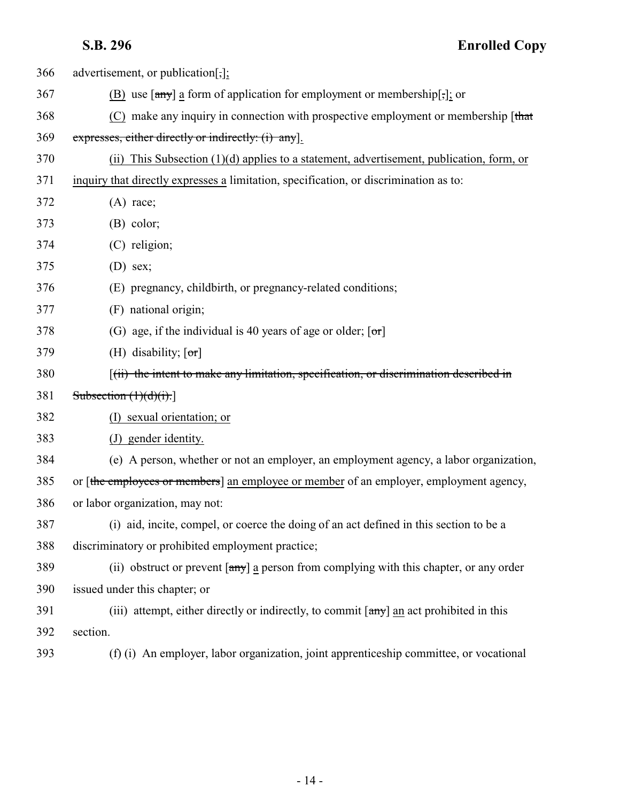| 366 | advertisement, or publication[,];                                                                              |
|-----|----------------------------------------------------------------------------------------------------------------|
| 367 | $(B)$ use $[\frac{any}{}]$ a form of application for employment or membership[;]; or                           |
| 368 | $(C)$ make any inquiry in connection with prospective employment or membership [that                           |
| 369 | expresses, either directly or indirectly: (i) any.                                                             |
| 370 | (ii) This Subsection $(1)(d)$ applies to a statement, advertisement, publication, form, or                     |
| 371 | inquiry that directly expresses a limitation, specification, or discrimination as to:                          |
| 372 | $(A)$ race;                                                                                                    |
| 373 | $(B)$ color;                                                                                                   |
| 374 | (C) religion;                                                                                                  |
| 375 | $(D)$ sex;                                                                                                     |
| 376 | (E) pregnancy, childbirth, or pregnancy-related conditions;                                                    |
| 377 | (F) national origin;                                                                                           |
| 378 | (G) age, if the individual is 40 years of age or older; $[\sigma r]$                                           |
| 379 | (H) disability; $\lceil \text{or} \rceil$                                                                      |
| 380 | $(iii)$ the intent to make any limitation, specification, or discrimination described in                       |
| 381 | Subsection $(1)(d)(i)$ .                                                                                       |
| 382 | (I) sexual orientation; or                                                                                     |
| 383 | (J) gender identity.                                                                                           |
| 384 | (e) A person, whether or not an employer, an employment agency, a labor organization,                          |
| 385 | or [the employees or members] an employee or member of an employer, employment agency,                         |
| 386 | or labor organization, may not:                                                                                |
| 387 | (i) aid, incite, compel, or coerce the doing of an act defined in this section to be a                         |
| 388 | discriminatory or prohibited employment practice;                                                              |
| 389 | (ii) obstruct or prevent $\lceil \frac{any}{n} \rceil$ a person from complying with this chapter, or any order |
| 390 | issued under this chapter; or                                                                                  |
| 391 | (iii) attempt, either directly or indirectly, to commit [any] an act prohibited in this                        |
| 392 | section.                                                                                                       |
| 393 | (f) (i) An employer, labor organization, joint apprenticeship committee, or vocational                         |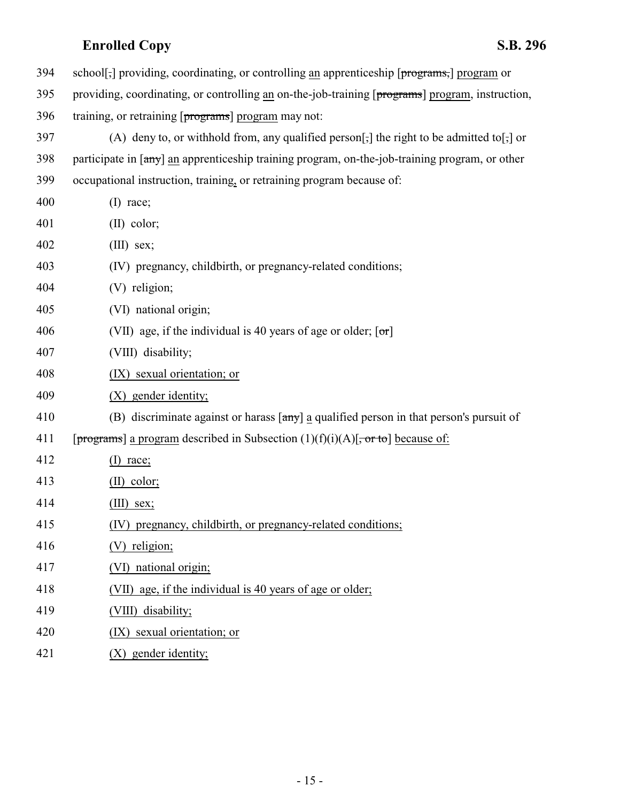| 394 | school[,] providing, coordinating, or controlling an apprenticeship [programs,] program or                             |
|-----|------------------------------------------------------------------------------------------------------------------------|
| 395 | providing, coordinating, or controlling an on-the-job-training [programs] program, instruction,                        |
| 396 | training, or retraining [programs] program may not:                                                                    |
| 397 | (A) deny to, or withhold from, any qualified person[;] the right to be admitted to[;] or                               |
| 398 | participate in $\lceil \frac{any}{n} \rceil$ an apprenticeship training program, on-the-job-training program, or other |
| 399 | occupational instruction, training, or retraining program because of:                                                  |
| 400 | $(I)$ race;                                                                                                            |
| 401 | $(II)$ color;                                                                                                          |
| 402 | $(III)$ sex;                                                                                                           |
| 403 | (IV) pregnancy, childbirth, or pregnancy-related conditions;                                                           |
| 404 | (V) religion;                                                                                                          |
| 405 | (VI) national origin;                                                                                                  |
| 406 | (VII) age, if the individual is 40 years of age or older; $[\sigma r]$                                                 |
| 407 | (VIII) disability;                                                                                                     |
| 408 | (IX) sexual orientation; or                                                                                            |
| 409 | (X) gender identity;                                                                                                   |
| 410 | (B) discriminate against or harass $\lceil \frac{any}{n} \rceil$ a qualified person in that person's pursuit of        |
| 411 | [programs] a program described in Subsection $(1)(f)(i)(A)[\frac{\pi}{2}$ because of:                                  |
| 412 | $(I)$ race;                                                                                                            |
| 413 | $(II)$ color;                                                                                                          |
| 414 | $(III)$ sex;                                                                                                           |
| 415 | (IV) pregnancy, childbirth, or pregnancy-related conditions;                                                           |
| 416 | (V) religion;                                                                                                          |
| 417 | (VI) national origin;                                                                                                  |
| 418 | (VII) age, if the individual is 40 years of age or older;                                                              |
| 419 | (VIII) disability;                                                                                                     |
| 420 | (IX) sexual orientation; or                                                                                            |
| 421 | (X) gender identity;                                                                                                   |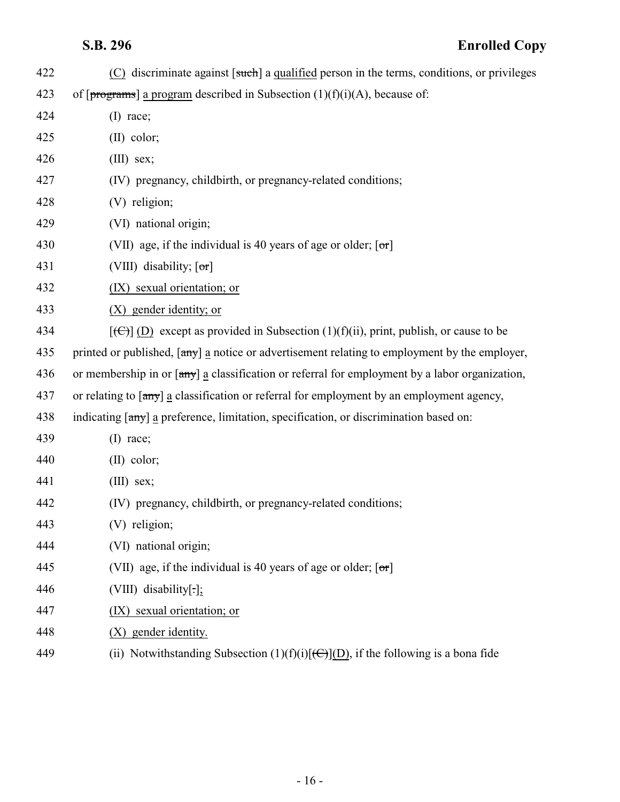| 422 | (C) discriminate against [such] a qualified person in the terms, conditions, or privileges                        |
|-----|-------------------------------------------------------------------------------------------------------------------|
| 423 | of $[progressans]$ a program described in Subsection $(1)(f)(i)(A)$ , because of:                                 |
| 424 | $(I)$ race;                                                                                                       |
| 425 | $(II)$ color;                                                                                                     |
| 426 | $(III)$ sex;                                                                                                      |
| 427 | (IV) pregnancy, childbirth, or pregnancy-related conditions;                                                      |
| 428 | (V) religion;                                                                                                     |
| 429 | (VI) national origin;                                                                                             |
| 430 | (VII) age, if the individual is 40 years of age or older; $[\sigma r]$                                            |
| 431 | (VIII) disability; $[\sigma r]$                                                                                   |
| 432 | (IX) sexual orientation; or                                                                                       |
| 433 | (X) gender identity; or                                                                                           |
| 434 | $[\text{(\textcircled{f})}]$ (D) except as provided in Subsection (1)(f)(ii), print, publish, or cause to be      |
| 435 | printed or published, [any] a notice or advertisement relating to employment by the employer,                     |
| 436 | or membership in or [any] a classification or referral for employment by a labor organization,                    |
| 437 | or relating to $\lceil \frac{any}{n} \rceil$ a classification or referral for employment by an employment agency, |
| 438 | indicating [any] a preference, limitation, specification, or discrimination based on:                             |
| 439 | $(I)$ race;                                                                                                       |
| 440 | $(II)$ color;                                                                                                     |
| 441 | $(III)$ sex;                                                                                                      |
| 442 | (IV) pregnancy, childbirth, or pregnancy-related conditions;                                                      |
| 443 | (V) religion;                                                                                                     |
| 444 | (VI) national origin;                                                                                             |
| 445 | (VII) age, if the individual is 40 years of age or older; $[\sigma r]$                                            |
| 446 | (VIII) disability[.];                                                                                             |
| 447 | sexual orientation; or<br>(IX)                                                                                    |
| 448 | (X) gender identity.                                                                                              |
| 449 | (ii) Notwithstanding Subsection $(1)(f)(i)[(C)](D)$ , if the following is a bona fide                             |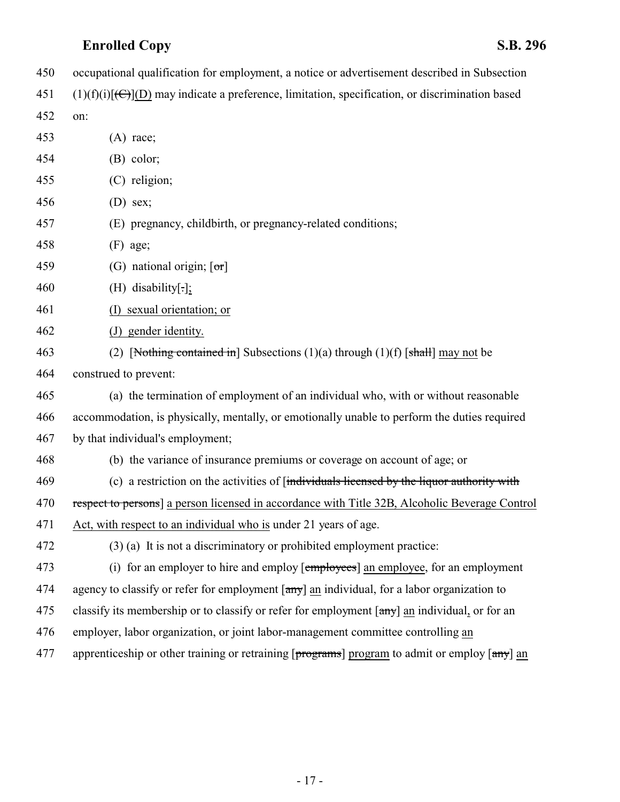- occupational qualification for employment, a notice or advertisement described in Subsection
- 451 (1)(f)(i)[ $\left(\frac{C}{C}\right)$ ](D) may indicate a preference, limitation, specification, or discrimination based
- on:

| 453 | $(A)$ race;                                                                                    |
|-----|------------------------------------------------------------------------------------------------|
| 454 | $(B)$ color;                                                                                   |
| 455 | (C) religion;                                                                                  |
| 456 | $(D)$ sex;                                                                                     |
| 457 | (E) pregnancy, childbirth, or pregnancy-related conditions;                                    |
| 458 | $(F)$ age;                                                                                     |
| 459 | (G) national origin; $\lceil \sigma r \rceil$                                                  |
| 460 | $(H)$ disability[.];                                                                           |
| 461 | (I) sexual orientation; or                                                                     |
| 462 | (J) gender identity.                                                                           |
| 463 | (2) [Nothing contained in] Subsections $(1)(a)$ through $(1)(f)$ [shall] may not be            |
| 464 | construed to prevent:                                                                          |
| 465 | (a) the termination of employment of an individual who, with or without reasonable             |
| 466 | accommodation, is physically, mentally, or emotionally unable to perform the duties required   |
| 467 | by that individual's employment;                                                               |
| 468 | (b) the variance of insurance premiums or coverage on account of age; or                       |
| 469 | (c) a restriction on the activities of [individuals licensed by the liquor authority with      |
| 470 | respect to persons] a person licensed in accordance with Title 32B, Alcoholic Beverage Control |
| 471 | Act, with respect to an individual who is under 21 years of age.                               |
| 472 | $(3)$ (a) It is not a discriminatory or prohibited employment practice:                        |
| 473 | (i) for an employer to hire and employ [employees] an employee, for an employment              |
| 474 | agency to classify or refer for employment [any] an individual, for a labor organization to    |
| 475 | classify its membership or to classify or refer for employment [any] an individual, or for an  |
| 476 | employer, labor organization, or joint labor-management committee controlling an               |
| 477 | apprenticeship or other training or retraining [programs] program to admit or employ [any] an  |
|     |                                                                                                |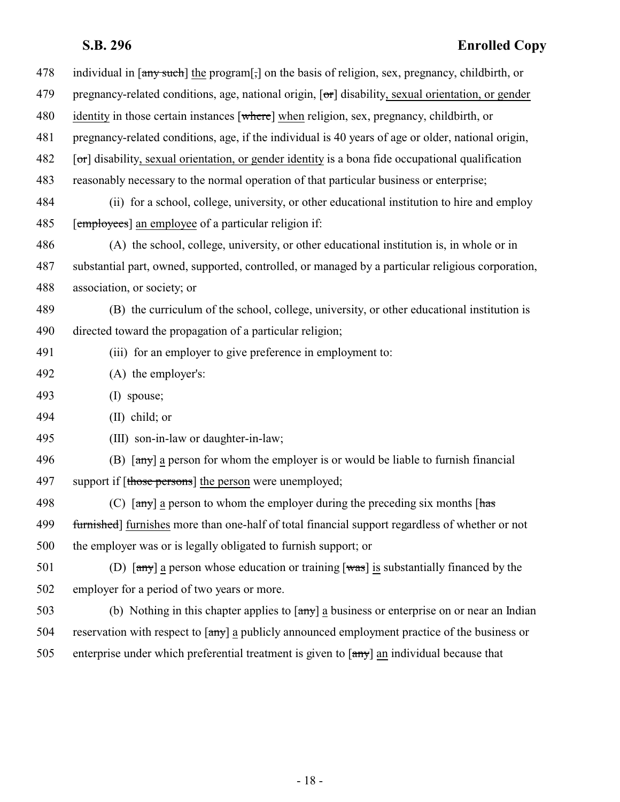| 478 | individual in [any such] the program[,] on the basis of religion, sex, pregnancy, childbirth, or                                                                      |
|-----|-----------------------------------------------------------------------------------------------------------------------------------------------------------------------|
| 479 | pregnancy-related conditions, age, national origin, $[\sigma r]$ disability, sexual orientation, or gender                                                            |
| 480 | identity in those certain instances [where] when religion, sex, pregnancy, childbirth, or                                                                             |
| 481 | pregnancy-related conditions, age, if the individual is 40 years of age or older, national origin,                                                                    |
| 482 | $[\sigma$ ] disability, sexual orientation, or gender identity is a bona fide occupational qualification                                                              |
| 483 | reasonably necessary to the normal operation of that particular business or enterprise;                                                                               |
| 484 | (ii) for a school, college, university, or other educational institution to hire and employ                                                                           |
| 485 | [employees] an employee of a particular religion if:                                                                                                                  |
| 486 | (A) the school, college, university, or other educational institution is, in whole or in                                                                              |
| 487 | substantial part, owned, supported, controlled, or managed by a particular religious corporation,                                                                     |
| 488 | association, or society; or                                                                                                                                           |
| 489 | (B) the curriculum of the school, college, university, or other educational institution is                                                                            |
| 490 | directed toward the propagation of a particular religion;                                                                                                             |
| 491 | (iii) for an employer to give preference in employment to:                                                                                                            |
| 492 | (A) the employer's:                                                                                                                                                   |
| 493 | $(I)$ spouse;                                                                                                                                                         |
| 494 | $(II)$ child; or                                                                                                                                                      |
| 495 | (III) son-in-law or daughter-in-law;                                                                                                                                  |
| 496 | (B) $\left[\frac{any}{ay}\right]$ a person for whom the employer is or would be liable to furnish financial                                                           |
| 497 | support if [those persons] the person were unemployed;                                                                                                                |
| 498 | (C) $\lceil \frac{\text{any}}{\text{any}} \rceil$ a person to whom the employer during the preceding six months $\lceil \frac{\text{has}}{\text{has}} \rceil$         |
| 499 | furnished] furnishes more than one-half of total financial support regardless of whether or not                                                                       |
| 500 | the employer was or is legally obligated to furnish support; or                                                                                                       |
| 501 | (D) $\lceil \frac{\text{any}}{\text{any}} \rceil$ a person whose education or training $\lceil \frac{\text{was}}{\text{was}} \rceil$ is substantially financed by the |
| 502 | employer for a period of two years or more.                                                                                                                           |
| 503 | (b) Nothing in this chapter applies to $\lceil \frac{any}{n} \rceil$ a business or enterprise on or near an Indian                                                    |
| 504 | reservation with respect to $\lceil \frac{any}{n} \rceil$ a publicly announced employment practice of the business or                                                 |
|     |                                                                                                                                                                       |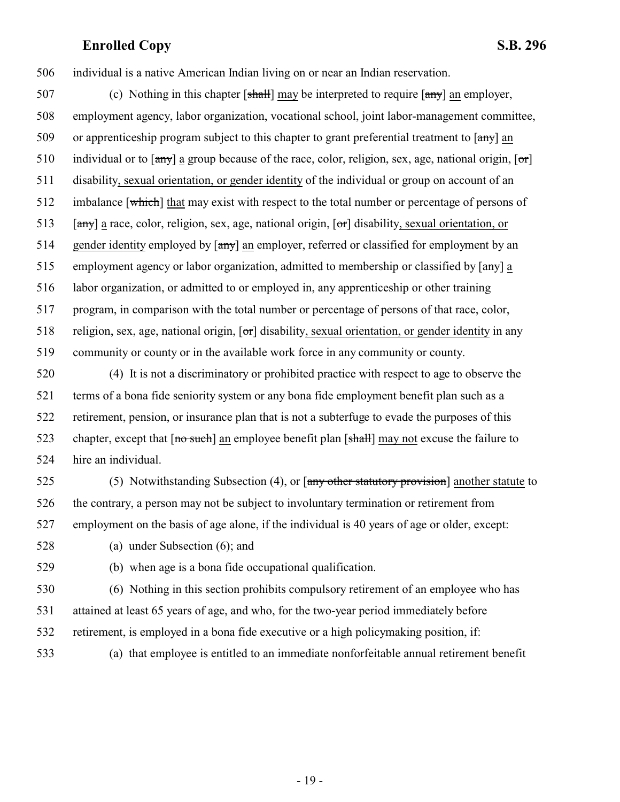506 individual is a native American Indian living on or near an Indian reservation.

507 (c) Nothing in this chapter  $[\frac{shall}{]}$  may be interpreted to require  $[\frac{amyl}{]}$  an employer, 508 employment agency, labor organization, vocational school, joint labor-management committee, 509 or apprenticeship program subject to this chapter to grant preferential treatment to [any] an 510 individual or to  $\left[\frac{any}{ay}\right]$  a group because of the race, color, religion, sex, age, national origin,  $\left[\frac{ori}{c}\right]$ 511 disability, sexual orientation, or gender identity of the individual or group on account of an 512 imbalance [which] that may exist with respect to the total number or percentage of persons of 513 [any] a race, color, religion, sex, age, national origin,  $\sigma$ ] disability, sexual orientation, or 514 gender identity employed by  $\left[\frac{amy}{amy}\right]$  an employer, referred or classified for employment by an 515 employment agency or labor organization, admitted to membership or classified by [any] a 516 labor organization, or admitted to or employed in, any apprenticeship or other training 517 program, in comparison with the total number or percentage of persons of that race, color, 518 religion, sex, age, national origin,  $[\sigma r]$  disability, sexual orientation, or gender identity in any 519 community or county or in the available work force in any community or county.

 (4) It is not a discriminatory or prohibited practice with respect to age to observe the terms of a bona fide seniority system or any bona fide employment benefit plan such as a retirement, pension, or insurance plan that is not a subterfuge to evade the purposes of this 523 chapter, except that  $\lceil$  no such an employee benefit plan  $\lceil$  shall may not excuse the failure to hire an individual.

525 (5) Notwithstanding Subsection (4), or  $\left[\frac{\text{any other stationary provision}}{\text{arrowsion}}\right]$  another statute to 526 the contrary, a person may not be subject to involuntary termination or retirement from 527 employment on the basis of age alone, if the individual is 40 years of age or older, except:

528 (a) under Subsection (6); and

529 (b) when age is a bona fide occupational qualification.

530 (6) Nothing in this section prohibits compulsory retirement of an employee who has 531 attained at least 65 years of age, and who, for the two-year period immediately before 532 retirement, is employed in a bona fide executive or a high policymaking position, if:

533 (a) that employee is entitled to an immediate nonforfeitable annual retirement benefit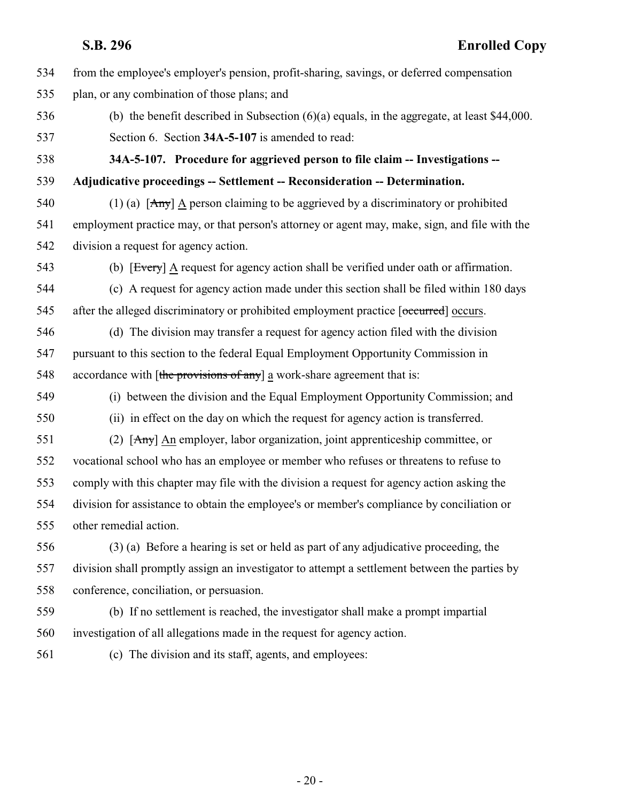- from the employee's employer's pension, profit-sharing, savings, or deferred compensation
- plan, or any combination of those plans; and
- <span id="page-19-0"></span> (b) the benefit described in Subsection (6)(a) equals, in the aggregate, at least \$44,000. Section 6. Section **34A-5-107** is amended to read:

 **34A-5-107. Procedure for aggrieved person to file claim -- Investigations -- Adjudicative proceedings -- Settlement -- Reconsideration -- Determination.**

540 (1) (a)  $[Any]$  A person claiming to be aggrieved by a discriminatory or prohibited employment practice may, or that person's attorney or agent may, make, sign, and file with the division a request for agency action.

(b) [Every] A request for agency action shall be verified under oath or affirmation.

 (c) A request for agency action made under this section shall be filed within 180 days 545 after the alleged discriminatory or prohibited employment practice [occurred] occurs.

 (d) The division may transfer a request for agency action filed with the division pursuant to this section to the federal Equal Employment Opportunity Commission in 548 accordance with [the provisions of any] a work-share agreement that is:

 (i) between the division and the Equal Employment Opportunity Commission; and (ii) in effect on the day on which the request for agency action is transferred.

 (2) [Any] An employer, labor organization, joint apprenticeship committee, or vocational school who has an employee or member who refuses or threatens to refuse to comply with this chapter may file with the division a request for agency action asking the division for assistance to obtain the employee's or member's compliance by conciliation or other remedial action.

 (3) (a) Before a hearing is set or held as part of any adjudicative proceeding, the division shall promptly assign an investigator to attempt a settlement between the parties by conference, conciliation, or persuasion.

- (b) If no settlement is reached, the investigator shall make a prompt impartial investigation of all allegations made in the request for agency action.
- 

(c) The division and its staff, agents, and employees: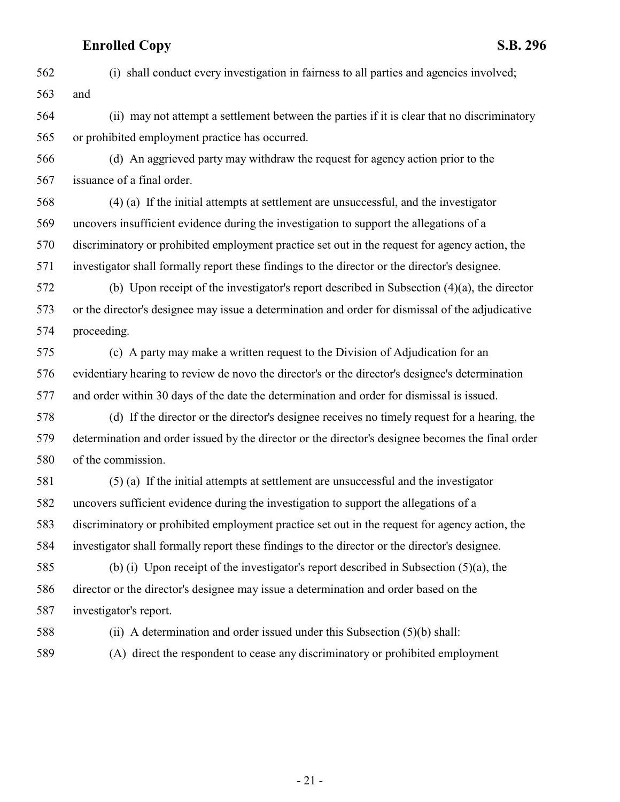(i) shall conduct every investigation in fairness to all parties and agencies involved; and

 (ii) may not attempt a settlement between the parties if it is clear that no discriminatory or prohibited employment practice has occurred.

 (d) An aggrieved party may withdraw the request for agency action prior to the issuance of a final order.

 (4) (a) If the initial attempts at settlement are unsuccessful, and the investigator uncovers insufficient evidence during the investigation to support the allegations of a discriminatory or prohibited employment practice set out in the request for agency action, the investigator shall formally report these findings to the director or the director's designee.

 (b) Upon receipt of the investigator's report described in Subsection (4)(a), the director or the director's designee may issue a determination and order for dismissal of the adjudicative proceeding.

 (c) A party may make a written request to the Division of Adjudication for an evidentiary hearing to review de novo the director's or the director's designee's determination and order within 30 days of the date the determination and order for dismissal is issued.

 (d) If the director or the director's designee receives no timely request for a hearing, the determination and order issued by the director or the director's designee becomes the final order of the commission.

 (5) (a) If the initial attempts at settlement are unsuccessful and the investigator uncovers sufficient evidence during the investigation to support the allegations of a discriminatory or prohibited employment practice set out in the request for agency action, the investigator shall formally report these findings to the director or the director's designee.

 (b) (i) Upon receipt of the investigator's report described in Subsection (5)(a), the director or the director's designee may issue a determination and order based on the investigator's report.

(ii) A determination and order issued under this Subsection (5)(b) shall:

(A) direct the respondent to cease any discriminatory or prohibited employment

- 21 -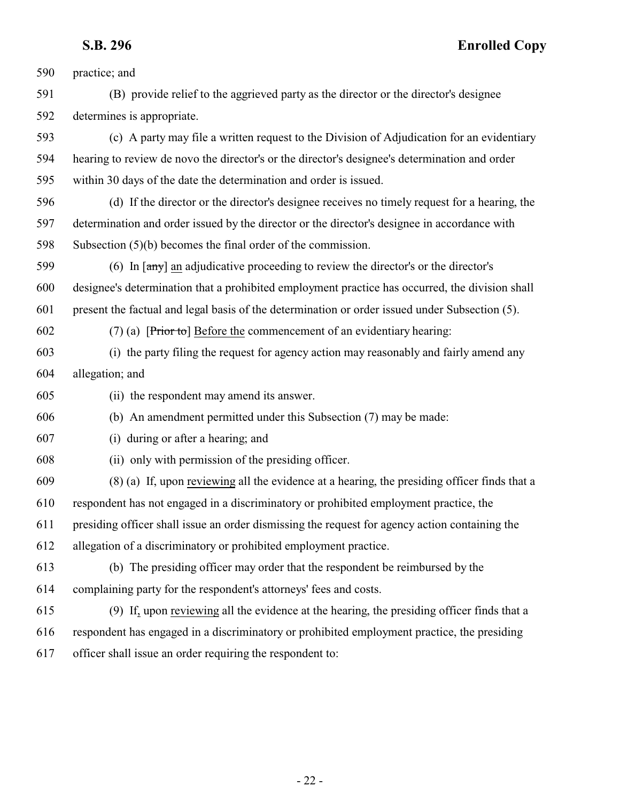practice; and (B) provide relief to the aggrieved party as the director or the director's designee determines is appropriate. (c) A party may file a written request to the Division of Adjudication for an evidentiary hearing to review de novo the director's or the director's designee's determination and order within 30 days of the date the determination and order is issued. (d) If the director or the director's designee receives no timely request for a hearing, the determination and order issued by the director or the director's designee in accordance with Subsection (5)(b) becomes the final order of the commission. (6) In [any] an adjudicative proceeding to review the director's or the director's designee's determination that a prohibited employment practice has occurred, the division shall present the factual and legal basis of the determination or order issued under Subsection (5). 602 (7) (a) [ $\overline{Prior \cdot tol}$  Before the commencement of an evidentiary hearing: (i) the party filing the request for agency action may reasonably and fairly amend any allegation; and (ii) the respondent may amend its answer. (b) An amendment permitted under this Subsection (7) may be made: (i) during or after a hearing; and (ii) only with permission of the presiding officer. (8) (a) If, upon reviewing all the evidence at a hearing, the presiding officer finds that a respondent has not engaged in a discriminatory or prohibited employment practice, the presiding officer shall issue an order dismissing the request for agency action containing the allegation of a discriminatory or prohibited employment practice. (b) The presiding officer may order that the respondent be reimbursed by the complaining party for the respondent's attorneys' fees and costs. (9) If, upon reviewing all the evidence at the hearing, the presiding officer finds that a respondent has engaged in a discriminatory or prohibited employment practice, the presiding officer shall issue an order requiring the respondent to: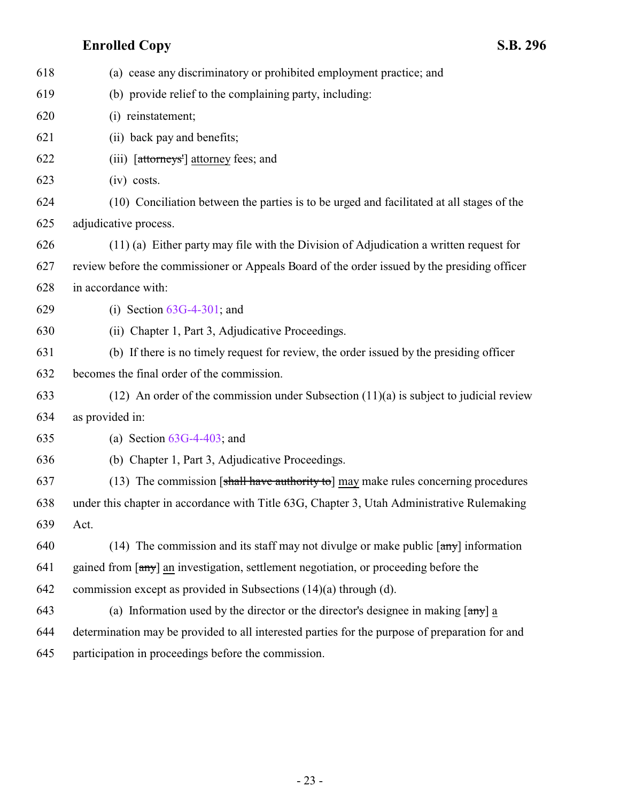| 618 | (a) cease any discriminatory or prohibited employment practice; and                                         |
|-----|-------------------------------------------------------------------------------------------------------------|
| 619 | (b) provide relief to the complaining party, including:                                                     |
| 620 | (i) reinstatement;                                                                                          |
| 621 | (ii) back pay and benefits;                                                                                 |
| 622 | (iii) [attorneys'] attorney fees; and                                                                       |
| 623 | $(iv)$ costs.                                                                                               |
| 624 | (10) Conciliation between the parties is to be urged and facilitated at all stages of the                   |
| 625 | adjudicative process.                                                                                       |
| 626 | $(11)$ (a) Either party may file with the Division of Adjudication a written request for                    |
| 627 | review before the commissioner or Appeals Board of the order issued by the presiding officer                |
| 628 | in accordance with:                                                                                         |
| 629 | (i) Section $63G-4-301$ ; and                                                                               |
| 630 | (ii) Chapter 1, Part 3, Adjudicative Proceedings.                                                           |
| 631 | (b) If there is no timely request for review, the order issued by the presiding officer                     |
| 632 | becomes the final order of the commission.                                                                  |
| 633 | $(12)$ An order of the commission under Subsection $(11)(a)$ is subject to judicial review                  |
| 634 | as provided in:                                                                                             |
| 635 | (a) Section $63G-4-403$ ; and                                                                               |
| 636 | (b) Chapter 1, Part 3, Adjudicative Proceedings.                                                            |
| 637 | (13) The commission [shall have authority to] may make rules concerning procedures                          |
| 638 | under this chapter in accordance with Title 63G, Chapter 3, Utah Administrative Rulemaking                  |
| 639 | Act.                                                                                                        |
| 640 | (14) The commission and its staff may not divulge or make public $\left[\frac{amy}{amy}\right]$ information |
| 641 | gained from [any] an investigation, settlement negotiation, or proceeding before the                        |
| 642 | commission except as provided in Subsections (14)(a) through (d).                                           |
| 643 | (a) Information used by the director or the director's designee in making $\lceil \frac{any}{n} \rceil$ a   |
| 644 | determination may be provided to all interested parties for the purpose of preparation for and              |
| 645 | participation in proceedings before the commission.                                                         |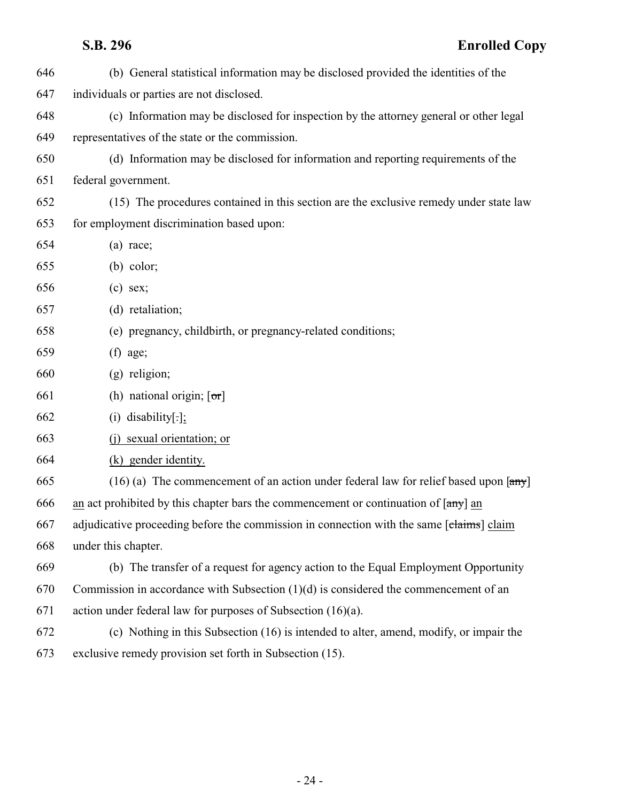| 646 | (b) General statistical information may be disclosed provided the identities of the                           |
|-----|---------------------------------------------------------------------------------------------------------------|
| 647 | individuals or parties are not disclosed.                                                                     |
| 648 | (c) Information may be disclosed for inspection by the attorney general or other legal                        |
| 649 | representatives of the state or the commission.                                                               |
| 650 | (d) Information may be disclosed for information and reporting requirements of the                            |
| 651 | federal government.                                                                                           |
| 652 | (15) The procedures contained in this section are the exclusive remedy under state law                        |
| 653 | for employment discrimination based upon:                                                                     |
| 654 | $(a)$ race;                                                                                                   |
| 655 | $(b)$ color;                                                                                                  |
| 656 | $(c)$ sex;                                                                                                    |
| 657 | (d) retaliation;                                                                                              |
| 658 | (e) pregnancy, childbirth, or pregnancy-related conditions;                                                   |
| 659 | $(f)$ age;                                                                                                    |
| 660 | (g) religion;                                                                                                 |
| 661 | (h) national origin; $[\sigma r]$                                                                             |
| 662 | $(i)$ disability[.];                                                                                          |
| 663 | sexual orientation; or<br>(i)                                                                                 |
| 664 | (k) gender identity.                                                                                          |
| 665 | $(16)$ (a) The commencement of an action under federal law for relief based upon $\left[\frac{amy}{m}\right]$ |
| 666 | an act prohibited by this chapter bars the commencement or continuation of $[\frac{any}{})$ an                |
| 667 | adjudicative proceeding before the commission in connection with the same [claims] claim                      |
| 668 | under this chapter.                                                                                           |
| 669 | (b) The transfer of a request for agency action to the Equal Employment Opportunity                           |
| 670 | Commission in accordance with Subsection $(1)(d)$ is considered the commencement of an                        |
| 671 | action under federal law for purposes of Subsection $(16)(a)$ .                                               |
| 672 | (c) Nothing in this Subsection (16) is intended to alter, amend, modify, or impair the                        |
| 673 | exclusive remedy provision set forth in Subsection (15).                                                      |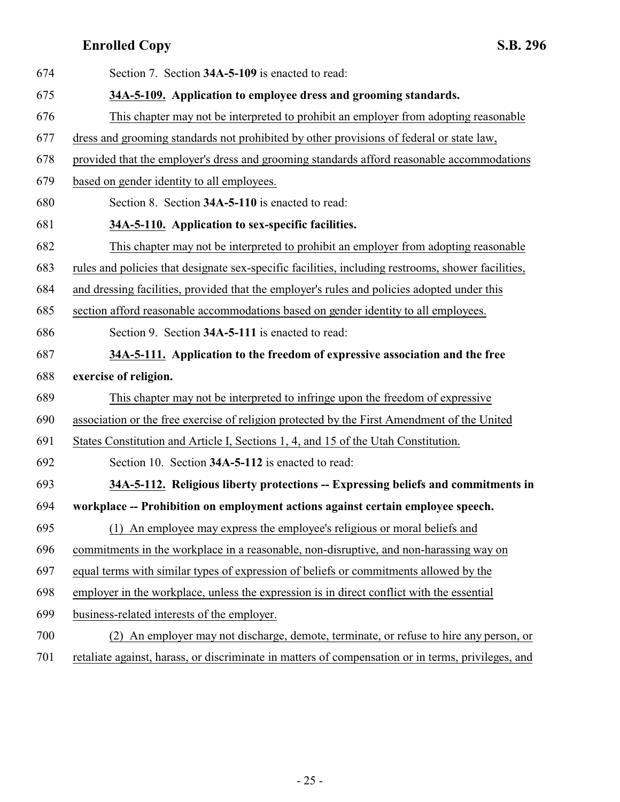<span id="page-24-3"></span><span id="page-24-2"></span><span id="page-24-1"></span><span id="page-24-0"></span>

| 674 | Section 7. Section 34A-5-109 is enacted to read:                                                   |
|-----|----------------------------------------------------------------------------------------------------|
| 675 | 34A-5-109. Application to employee dress and grooming standards.                                   |
| 676 | This chapter may not be interpreted to prohibit an employer from adopting reasonable               |
| 677 | dress and grooming standards not prohibited by other provisions of federal or state law,           |
| 678 | provided that the employer's dress and grooming standards afford reasonable accommodations         |
| 679 | based on gender identity to all employees.                                                         |
| 680 | Section 8. Section 34A-5-110 is enacted to read:                                                   |
| 681 | 34A-5-110. Application to sex-specific facilities.                                                 |
| 682 | This chapter may not be interpreted to prohibit an employer from adopting reasonable               |
| 683 | rules and policies that designate sex-specific facilities, including restrooms, shower facilities, |
| 684 | and dressing facilities, provided that the employer's rules and policies adopted under this        |
| 685 | section afford reasonable accommodations based on gender identity to all employees.                |
| 686 | Section 9. Section 34A-5-111 is enacted to read:                                                   |
| 687 | 34A-5-111. Application to the freedom of expressive association and the free                       |
| 688 | exercise of religion.                                                                              |
| 689 | This chapter may not be interpreted to infringe upon the freedom of expressive                     |
| 690 | association or the free exercise of religion protected by the First Amendment of the United        |
| 691 | States Constitution and Article I, Sections 1, 4, and 15 of the Utah Constitution.                 |
| 692 | Section 10. Section 34A-5-112 is enacted to read:                                                  |
| 693 | 34A-5-112. Religious liberty protections -- Expressing beliefs and commitments in                  |
| 694 | workplace -- Prohibition on employment actions against certain employee speech.                    |
| 695 | (1) An employee may express the employee's religious or moral beliefs and                          |
| 696 | commitments in the workplace in a reasonable, non-disruptive, and non-harassing way on             |
| 697 | equal terms with similar types of expression of beliefs or commitments allowed by the              |
| 698 | employer in the workplace, unless the expression is in direct conflict with the essential          |
| 699 | business-related interests of the employer.                                                        |
| 700 | An employer may not discharge, demote, terminate, or refuse to hire any person, or<br>(2)          |
| 701 | retaliate against, harass, or discriminate in matters of compensation or in terms, privileges, and |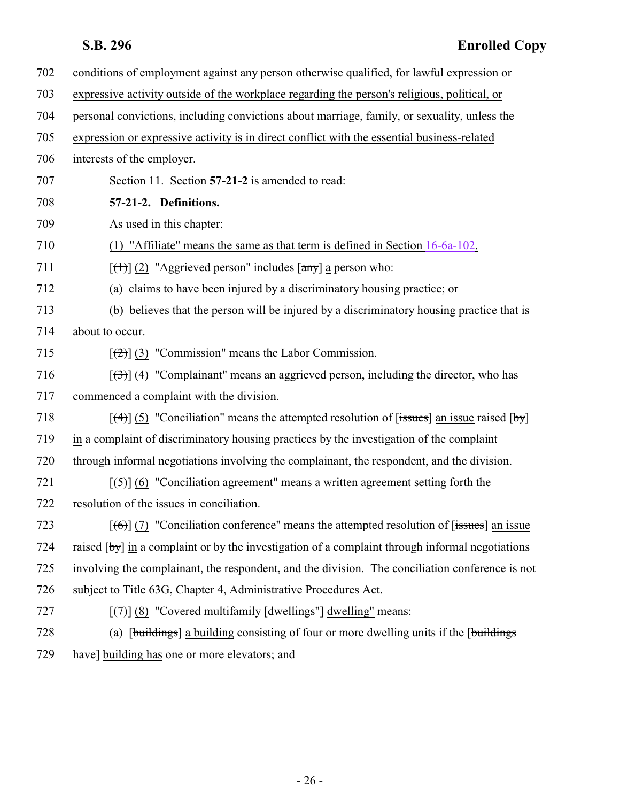<span id="page-25-0"></span>

| 702 | conditions of employment against any person otherwise qualified, for lawful expression or                                     |
|-----|-------------------------------------------------------------------------------------------------------------------------------|
| 703 | expressive activity outside of the workplace regarding the person's religious, political, or                                  |
| 704 | personal convictions, including convictions about marriage, family, or sexuality, unless the                                  |
| 705 | expression or expressive activity is in direct conflict with the essential business-related                                   |
| 706 | interests of the employer.                                                                                                    |
| 707 | Section 11. Section 57-21-2 is amended to read:                                                                               |
|     |                                                                                                                               |
| 708 | 57-21-2. Definitions.                                                                                                         |
| 709 | As used in this chapter:                                                                                                      |
| 710 | (1) "Affiliate" means the same as that term is defined in Section $16-6a-102$ .                                               |
| 711 | $[\text{(+)}]$ (2) "Aggrieved person" includes $[\text{any}]$ a person who:                                                   |
| 712 | (a) claims to have been injured by a discriminatory housing practice; or                                                      |
| 713 | (b) believes that the person will be injured by a discriminatory housing practice that is                                     |
| 714 | about to occur.                                                                                                               |
| 715 | $[\frac{1}{2}]$ (3) "Commission" means the Labor Commission.                                                                  |
| 716 | $[\langle 3\rangle]$ (4) "Complainant" means an aggrieved person, including the director, who has                             |
| 717 | commenced a complaint with the division.                                                                                      |
| 718 | $\lceil (4) \rceil$ (5) "Conciliation" means the attempted resolution of $\lceil$ issues an issue raised $\lceil$ by $\rceil$ |
| 719 | in a complaint of discriminatory housing practices by the investigation of the complaint                                      |
| 720 | through informal negotiations involving the complainant, the respondent, and the division.                                    |
| 721 | $[\frac{1}{2}, \frac{1}{2}]$ (6) "Conciliation agreement" means a written agreement setting forth the                         |
| 722 | resolution of the issues in conciliation.                                                                                     |
| 723 | $[\text{f6}]$ (7) "Conciliation conference" means the attempted resolution of [issues] an issue                               |
| 724 | raised $[by]$ in a complaint or by the investigation of a complaint through informal negotiations                             |
| 725 | involving the complainant, the respondent, and the division. The conciliation conference is not                               |
| 726 | subject to Title 63G, Chapter 4, Administrative Procedures Act.                                                               |
| 727 | $[\overline{(+)}]$ (8) "Covered multifamily $[\overline{dw}$ ellings" dwelling" means:                                        |
| 728 | (a) [buildings] a building consisting of four or more dwelling units if the [buildings]                                       |
| 729 | have] building has one or more elevators; and                                                                                 |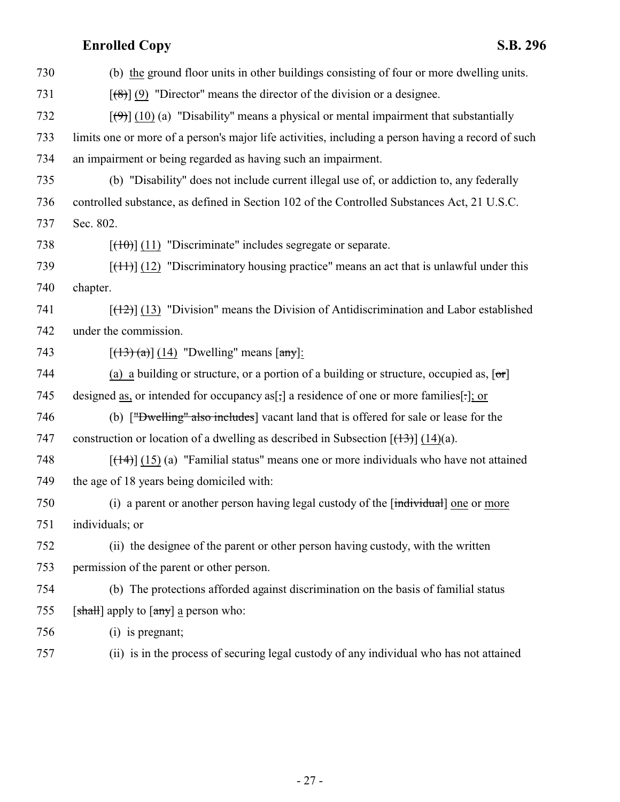| 730 | (b) the ground floor units in other buildings consisting of four or more dwelling units.                    |
|-----|-------------------------------------------------------------------------------------------------------------|
| 731 | $[\langle 8 \rangle]$ (9) "Director" means the director of the division or a designee.                      |
| 732 | $[\langle \Theta \rangle]$ (10) (a) "Disability" means a physical or mental impairment that substantially   |
| 733 | limits one or more of a person's major life activities, including a person having a record of such          |
| 734 | an impairment or being regarded as having such an impairment.                                               |
| 735 | (b) "Disability" does not include current illegal use of, or addiction to, any federally                    |
| 736 | controlled substance, as defined in Section 102 of the Controlled Substances Act, 21 U.S.C.                 |
| 737 | Sec. 802.                                                                                                   |
| 738 | $[\text{+}100]$ (11) "Discriminate" includes segregate or separate.                                         |
| 739 | $[\frac{(11)}{(12)}]$ (12) "Discriminatory housing practice" means an act that is unlawful under this       |
| 740 | chapter.                                                                                                    |
| 741 | $[$ (12) $]$ (13) "Division" means the Division of Antidiscrimination and Labor established                 |
| 742 | under the commission.                                                                                       |
| 743 | $[(13)(a)]$ $(14)$ "Dwelling" means $[\text{any}]$ :                                                        |
| 744 | (a) a building or structure, or a portion of a building or structure, occupied as, $\lceil \sigma r \rceil$ |
| 745 | designed as, or intended for occupancy as[;] a residence of one or more families[.]; or                     |
| 746 | (b) ["Dwelling" also includes] vacant land that is offered for sale or lease for the                        |
| 747 | construction or location of a dwelling as described in Subsection $[\frac{13}{3}]$ (14)(a).                 |
| 748 | $[\frac{14}{1}]$ (15) (a) "Familial status" means one or more individuals who have not attained             |
| 749 | the age of 18 years being domiciled with:                                                                   |
| 750 | (i) a parent or another person having legal custody of the [individual] one or more                         |
| 751 | individuals; or                                                                                             |
| 752 | (ii) the designee of the parent or other person having custody, with the written                            |
| 753 | permission of the parent or other person.                                                                   |
| 754 | (b) The protections afforded against discrimination on the basis of familial status                         |
| 755 | [shall] apply to $\lceil \frac{any}{n} \rceil$ a person who:                                                |
| 756 | (i) is pregnant;                                                                                            |
| 757 | (ii) is in the process of securing legal custody of any individual who has not attained                     |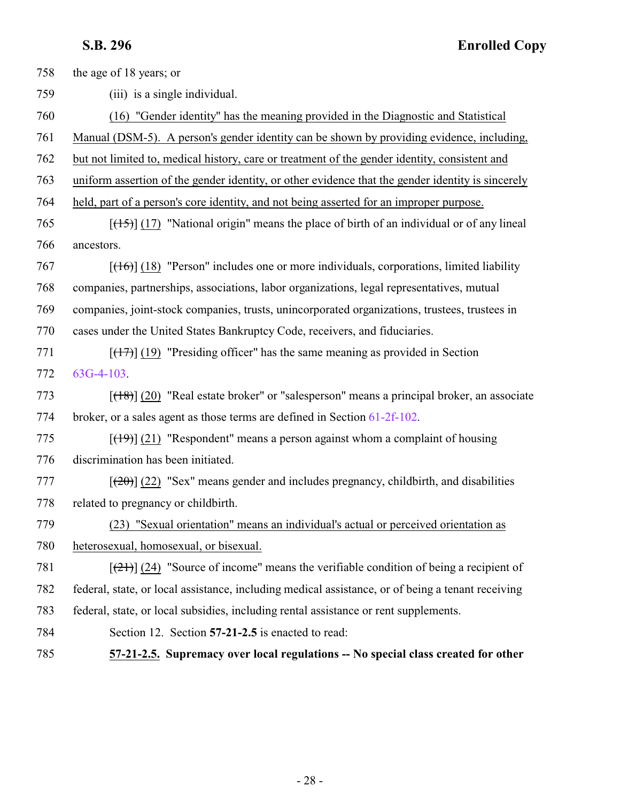<span id="page-27-0"></span>

| 758 | the age of 18 years; or                                                                              |
|-----|------------------------------------------------------------------------------------------------------|
| 759 | (iii) is a single individual.                                                                        |
| 760 | (16) "Gender identity" has the meaning provided in the Diagnostic and Statistical                    |
| 761 | Manual (DSM-5). A person's gender identity can be shown by providing evidence, including,            |
| 762 | but not limited to, medical history, care or treatment of the gender identity, consistent and        |
| 763 | uniform assertion of the gender identity, or other evidence that the gender identity is sincerely    |
| 764 | held, part of a person's core identity, and not being asserted for an improper purpose.              |
| 765 | $[$ (17) "National origin" means the place of birth of an individual or of any lineal                |
| 766 | ancestors.                                                                                           |
| 767 | $[({16})]$ (18) "Person" includes one or more individuals, corporations, limited liability           |
| 768 | companies, partnerships, associations, labor organizations, legal representatives, mutual            |
| 769 | companies, joint-stock companies, trusts, unincorporated organizations, trustees, trustees in        |
| 770 | cases under the United States Bankruptcy Code, receivers, and fiduciaries.                           |
| 771 | $[ (17) ]$ (19) "Presiding officer" has the same meaning as provided in Section                      |
| 772 | $63G-4-103$ .                                                                                        |
| 773 | $[ (18) ]$ (20) "Real estate broker" or "salesperson" means a principal broker, an associate         |
| 774 | broker, or a sales agent as those terms are defined in Section 61-2f-102.                            |
| 775 | $[$ (49)] (21) "Respondent" means a person against whom a complaint of housing                       |
| 776 | discrimination has been initiated.                                                                   |
| 777 | $[\frac{(20)}{(22)}]$ "Sex" means gender and includes pregnancy, childbirth, and disabilities        |
| 778 | related to pregnancy or childbirth.                                                                  |
| 779 | (23) "Sexual orientation" means an individual's actual or perceived orientation as                   |
| 780 | heterosexual, homosexual, or bisexual.                                                               |
| 781 | $[\frac{(21)}{(24)}]$ (24) "Source of income" means the verifiable condition of being a recipient of |
| 782 | federal, state, or local assistance, including medical assistance, or of being a tenant receiving    |
| 783 | federal, state, or local subsidies, including rental assistance or rent supplements.                 |
| 784 | Section 12. Section 57-21-2.5 is enacted to read:                                                    |
| 785 | 57-21-2.5. Supremacy over local regulations -- No special class created for other                    |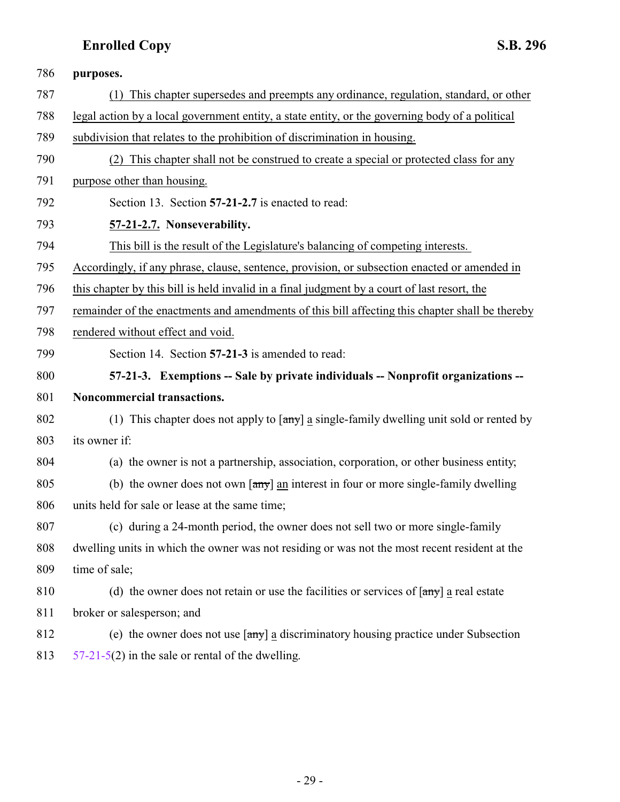<span id="page-28-1"></span><span id="page-28-0"></span>

| 786 | purposes.                                                                                                       |
|-----|-----------------------------------------------------------------------------------------------------------------|
| 787 | (1) This chapter supersedes and preempts any ordinance, regulation, standard, or other                          |
| 788 | legal action by a local government entity, a state entity, or the governing body of a political                 |
| 789 | subdivision that relates to the prohibition of discrimination in housing.                                       |
| 790 | (2) This chapter shall not be construed to create a special or protected class for any                          |
| 791 | purpose other than housing.                                                                                     |
| 792 | Section 13. Section 57-21-2.7 is enacted to read:                                                               |
| 793 | 57-21-2.7. Nonseverability.                                                                                     |
| 794 | This bill is the result of the Legislature's balancing of competing interests.                                  |
| 795 | Accordingly, if any phrase, clause, sentence, provision, or subsection enacted or amended in                    |
| 796 | this chapter by this bill is held invalid in a final judgment by a court of last resort, the                    |
| 797 | remainder of the enactments and amendments of this bill affecting this chapter shall be thereby                 |
| 798 | rendered without effect and void.                                                                               |
| 799 | Section 14. Section 57-21-3 is amended to read:                                                                 |
| 800 | 57-21-3. Exemptions -- Sale by private individuals -- Nonprofit organizations --                                |
| 801 | Noncommercial transactions.                                                                                     |
| 802 | (1) This chapter does not apply to $\left[\frac{any}{n}\right]$ a single-family dwelling unit sold or rented by |
| 803 | its owner if:                                                                                                   |
| 804 | (a) the owner is not a partnership, association, corporation, or other business entity;                         |
| 805 | (b) the owner does not own $\left[\frac{any}{n}\right]$ an interest in four or more single-family dwelling      |
| 806 | units held for sale or lease at the same time;                                                                  |
| 807 | (c) during a 24-month period, the owner does not sell two or more single-family                                 |
| 808 | dwelling units in which the owner was not residing or was not the most recent resident at the                   |
| 809 | time of sale;                                                                                                   |
| 810 | (d) the owner does not retain or use the facilities or services of $\text{[any]}$ a real estate                 |
| 811 | broker or salesperson; and                                                                                      |
| 812 | (e) the owner does not use $\lceil \frac{any}{2} \rceil$ a discriminatory housing practice under Subsection     |
|     |                                                                                                                 |

- 29 -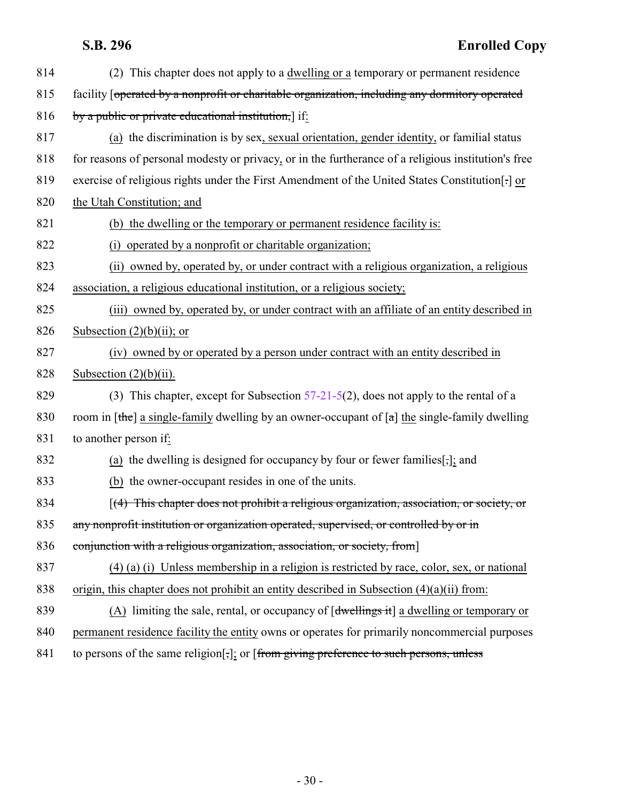| 814 | (2) This chapter does not apply to a dwelling or a temporary or permanent residence                  |
|-----|------------------------------------------------------------------------------------------------------|
| 815 | facility [operated by a nonprofit or charitable organization, including any dormitory operated       |
| 816 | by a public or private educational institution,] if:                                                 |
| 817 | (a) the discrimination is by sex, sexual orientation, gender identity, or familial status            |
| 818 | for reasons of personal modesty or privacy, or in the furtherance of a religious institution's free  |
| 819 | exercise of religious rights under the First Amendment of the United States Constitution[.] or       |
| 820 | the Utah Constitution; and                                                                           |
| 821 | (b) the dwelling or the temporary or permanent residence facility is:                                |
| 822 | (i) operated by a nonprofit or charitable organization;                                              |
| 823 | (ii) owned by, operated by, or under contract with a religious organization, a religious             |
| 824 | association, a religious educational institution, or a religious society;                            |
| 825 | (iii) owned by, operated by, or under contract with an affiliate of an entity described in           |
| 826 | Subsection $(2)(b)(ii)$ ; or                                                                         |
| 827 | (iv) owned by or operated by a person under contract with an entity described in                     |
| 828 | Subsection $(2)(b)(ii)$ .                                                                            |
| 829 | (3) This chapter, except for Subsection $57-21-5(2)$ , does not apply to the rental of a             |
| 830 | room in [the] a single-family dwelling by an owner-occupant of $[a]$ the single-family dwelling      |
| 831 | to another person if:                                                                                |
| 832 | (a) the dwelling is designed for occupancy by four or fewer families $[\cdot,\cdot]$ : and           |
| 833 | (b) the owner-occupant resides in one of the units.                                                  |
| 834 | $[(4)$ This chapter does not prohibit a religious organization, association, or society, or          |
| 835 | any nonprofit institution or organization operated, supervised, or controlled by or in               |
| 836 | conjunction with a religious organization, association, or society, from                             |
| 837 | $(4)$ (a) (i) Unless membership in a religion is restricted by race, color, sex, or national         |
| 838 | origin, this chapter does not prohibit an entity described in Subsection $(4)(a)(ii)$ from:          |
| 839 | (A) limiting the sale, rental, or occupancy of [dwellings it] a dwelling or temporary or             |
| 840 | permanent residence facility the entity owns or operates for primarily noncommercial purposes        |
| 841 | to persons of the same religion[ $\frac{1}{2}$ ]: or [from giving preference to such persons, unless |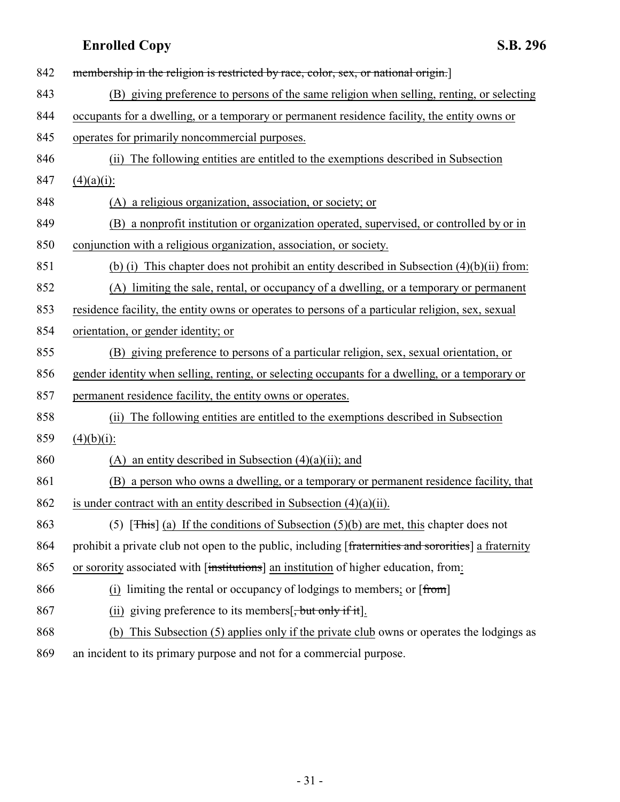| 842 | membership in the religion is restricted by race, color, sex, or national origin.                    |
|-----|------------------------------------------------------------------------------------------------------|
| 843 | (B) giving preference to persons of the same religion when selling, renting, or selecting            |
| 844 | occupants for a dwelling, or a temporary or permanent residence facility, the entity owns or         |
| 845 | operates for primarily noncommercial purposes.                                                       |
| 846 | The following entities are entitled to the exemptions described in Subsection<br>(ii)                |
| 847 | $(4)(a)(i)$ :                                                                                        |
| 848 | a religious organization, association, or society; or<br>(A)                                         |
| 849 | a nonprofit institution or organization operated, supervised, or controlled by or in<br>(B)          |
| 850 | conjunction with a religious organization, association, or society.                                  |
| 851 | (b) (i) This chapter does not prohibit an entity described in Subsection $(4)(b)(ii)$ from:          |
| 852 | (A) limiting the sale, rental, or occupancy of a dwelling, or a temporary or permanent               |
| 853 | residence facility, the entity owns or operates to persons of a particular religion, sex, sexual     |
| 854 | orientation, or gender identity; or                                                                  |
| 855 | (B) giving preference to persons of a particular religion, sex, sexual orientation, or               |
| 856 | gender identity when selling, renting, or selecting occupants for a dwelling, or a temporary or      |
| 857 | permanent residence facility, the entity owns or operates.                                           |
| 858 | The following entities are entitled to the exemptions described in Subsection<br>(i)                 |
| 859 | $(4)(b)(i)$ :                                                                                        |
| 860 | an entity described in Subsection $(4)(a)(ii)$ ; and<br>(A)                                          |
| 861 | (B) a person who owns a dwelling, or a temporary or permanent residence facility, that               |
| 862 | is under contract with an entity described in Subsection $(4)(a)(ii)$ .                              |
| 863 | (5) [This] (a) If the conditions of Subsection $(5)(b)$ are met, this chapter does not               |
| 864 | prohibit a private club not open to the public, including [fraternities and sororities] a fraternity |
| 865 | or sorority associated with [institutions] an institution of higher education, from:                 |
| 866 | (i) limiting the rental or occupancy of lodgings to members; or $[from]$                             |
| 867 | (ii) giving preference to its members $\frac{1}{2}$ , but only if it.                                |
| 868 | This Subsection (5) applies only if the private club owns or operates the lodgings as<br>(b)         |
| 869 | an incident to its primary purpose and not for a commercial purpose.                                 |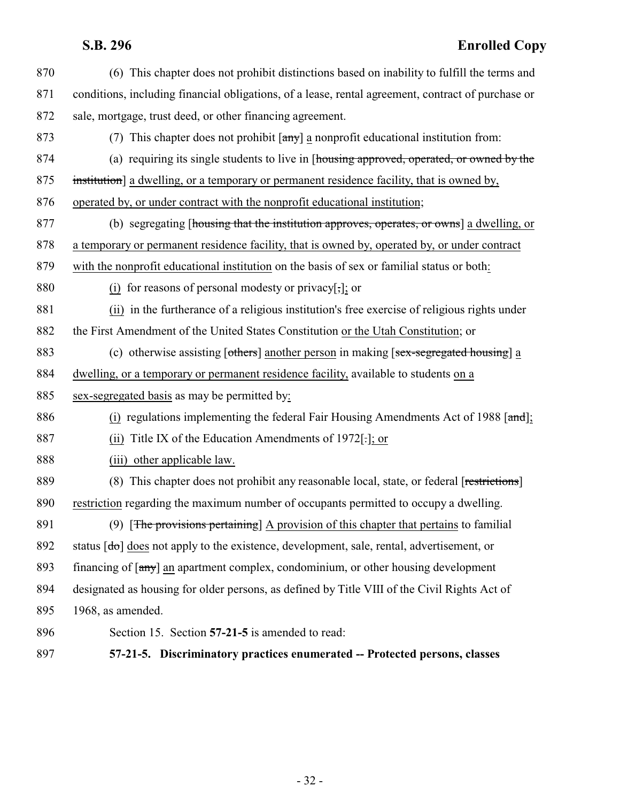<span id="page-31-0"></span> (6) This chapter does not prohibit distinctions based on inability to fulfill the terms and conditions, including financial obligations, of a lease, rental agreement, contract of purchase or sale, mortgage, trust deed, or other financing agreement. 873 (7) This chapter does not prohibit  $\begin{bmatrix} \frac{amy}{amy} \end{bmatrix}$  a nonprofit educational institution from: (a) requiring its single students to live in [housing approved, operated, or owned by the 875 institution a dwelling, or a temporary or permanent residence facility, that is owned by, operated by, or under contract with the nonprofit educational institution; (b) segregating [housing that the institution approves, operates, or owns] a dwelling, or a temporary or permanent residence facility, that is owned by, operated by, or under contract with the nonprofit educational institution on the basis of sex or familial status or both: (i) for reasons of personal modesty or privacy[,]; or (ii) in the furtherance of a religious institution's free exercise of religious rights under the First Amendment of the United States Constitution or the Utah Constitution; or 883 (c) otherwise assisting [others] another person in making [sex-segregated housing] a dwelling, or a temporary or permanent residence facility, available to students on a sex-segregated basis as may be permitted by: 886 (i) regulations implementing the federal Fair Housing Amendments Act of 1988 [and]; (ii) Title IX of the Education Amendments of 1972[.]; or (iii) other applicable law. 889 (8) This chapter does not prohibit any reasonable local, state, or federal [restrictions] restriction regarding the maximum number of occupants permitted to occupy a dwelling. 891 (9) [The provisions pertaining] A provision of this chapter that pertains to familial 892 status  $\lceil d\sigma \rceil$  does not apply to the existence, development, sale, rental, advertisement, or financing of [any] an apartment complex, condominium, or other housing development designated as housing for older persons, as defined by Title VIII of the Civil Rights Act of 1968, as amended. Section 15. Section **57-21-5** is amended to read: **57-21-5. Discriminatory practices enumerated -- Protected persons, classes**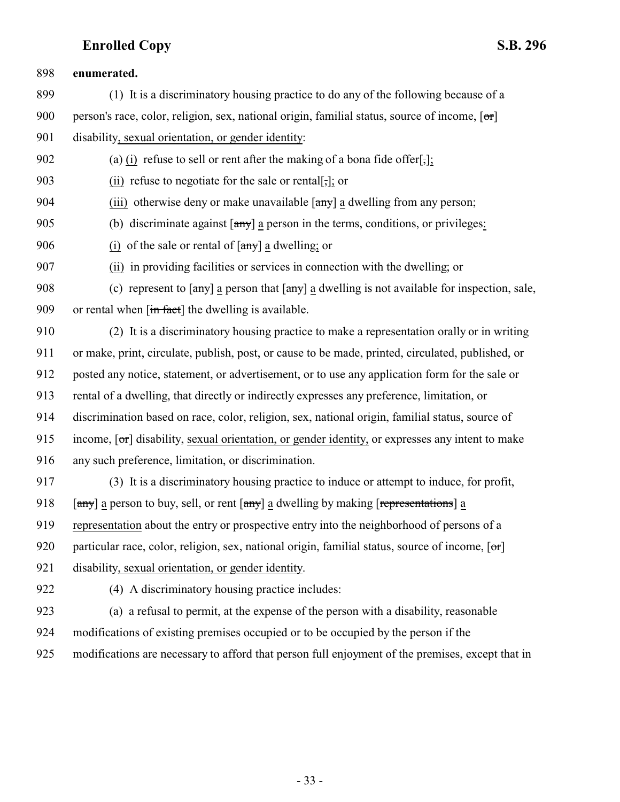**enumerated.** (1) It is a discriminatory housing practice to do any of the following because of a 900 person's race, color, religion, sex, national origin, familial status, source of income,  $\lceil \sigma r \rceil$  disability, sexual orientation, or gender identity: (a) (i) refuse to sell or rent after the making of a bona fide offer[,]; (ii) refuse to negotiate for the sale or rental[,]; or 904 (iii) otherwise deny or make unavailable  $\left[\frac{\text{any}}{\text{any}}\right]$  a dwelling from any person; (b) discriminate against [any] a person in the terms, conditions, or privileges: 906 (i) of the sale or rental of  $\left[\frac{\text{any}}{\text{any}}\right]$  a dwelling; or (ii) in providing facilities or services in connection with the dwelling; or 908 (c) represent to  $\left[\frac{amy}{a}\right]$  a person that  $\left[\frac{amy}{a}\right]$  a dwelling is not available for inspection, sale, 909 or rental when  $\left[\frac{\text{in fact}}{\text{in fact}}\right]$  the dwelling is available. (2) It is a discriminatory housing practice to make a representation orally or in writing or make, print, circulate, publish, post, or cause to be made, printed, circulated, published, or posted any notice, statement, or advertisement, or to use any application form for the sale or rental of a dwelling, that directly or indirectly expresses any preference, limitation, or discrimination based on race, color, religion, sex, national origin, familial status, source of 915 income, [or] disability, sexual orientation, or gender identity, or expresses any intent to make any such preference, limitation, or discrimination. (3) It is a discriminatory housing practice to induce or attempt to induce, for profit, 918 [any] a person to buy, sell, or rent  $\left[\frac{any}{ay}\right]$  a dwelling by making  $\left[\frac{representations}{ay}\right]$  a representation about the entry or prospective entry into the neighborhood of persons of a 920 particular race, color, religion, sex, national origin, familial status, source of income,  $\sigma$  disability, sexual orientation, or gender identity. (4) A discriminatory housing practice includes: (a) a refusal to permit, at the expense of the person with a disability, reasonable modifications of existing premises occupied or to be occupied by the person if the modifications are necessary to afford that person full enjoyment of the premises, except that in

- 33 -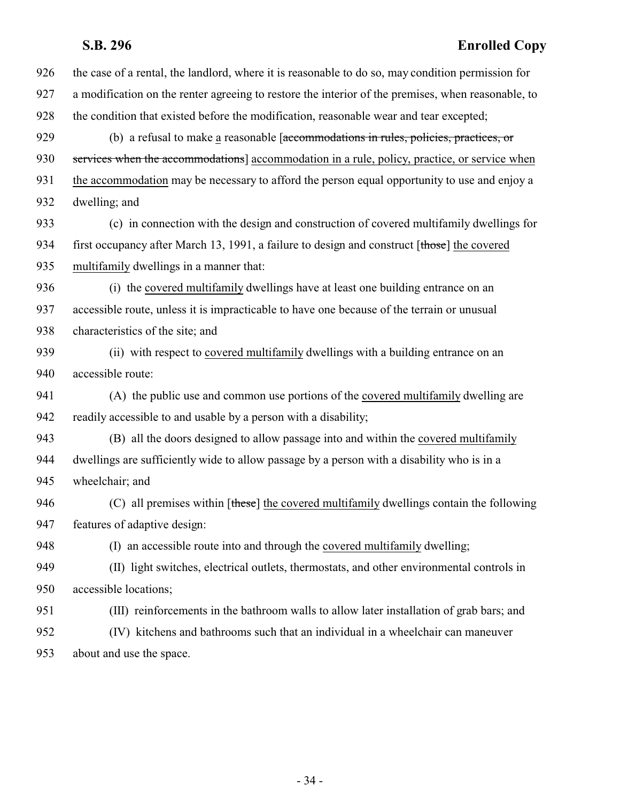| 926 | the case of a rental, the landlord, where it is reasonable to do so, may condition permission for  |
|-----|----------------------------------------------------------------------------------------------------|
| 927 | a modification on the renter agreeing to restore the interior of the premises, when reasonable, to |
| 928 | the condition that existed before the modification, reasonable wear and tear excepted;             |
| 929 | (b) a refusal to make a reasonable [accommodations in rules, policies, practices, or               |
| 930 | services when the accommodations] accommodation in a rule, policy, practice, or service when       |
| 931 | the accommodation may be necessary to afford the person equal opportunity to use and enjoy a       |
| 932 | dwelling; and                                                                                      |
| 933 | (c) in connection with the design and construction of covered multifamily dwellings for            |
| 934 | first occupancy after March 13, 1991, a failure to design and construct [those] the covered        |
| 935 | multifamily dwellings in a manner that:                                                            |
| 936 | (i) the covered multifamily dwellings have at least one building entrance on an                    |
| 937 | accessible route, unless it is impracticable to have one because of the terrain or unusual         |
| 938 | characteristics of the site; and                                                                   |
| 939 | (ii) with respect to covered multifamily dwellings with a building entrance on an                  |
| 940 | accessible route:                                                                                  |
| 941 | (A) the public use and common use portions of the covered multifamily dwelling are                 |
| 942 | readily accessible to and usable by a person with a disability;                                    |
| 943 | (B) all the doors designed to allow passage into and within the covered multifamily                |
| 944 | dwellings are sufficiently wide to allow passage by a person with a disability who is in a         |
| 945 | wheelchair; and                                                                                    |
| 946 | (C) all premises within [these] the covered multifamily dwellings contain the following            |
| 947 | features of adaptive design:                                                                       |
| 948 | (I) an accessible route into and through the covered multifamily dwelling;                         |
| 949 | (II) light switches, electrical outlets, thermostats, and other environmental controls in          |
| 950 | accessible locations;                                                                              |
| 951 | (III) reinforcements in the bathroom walls to allow later installation of grab bars; and           |
| 952 | (IV) kitchens and bathrooms such that an individual in a wheelchair can maneuver                   |
| 953 | about and use the space.                                                                           |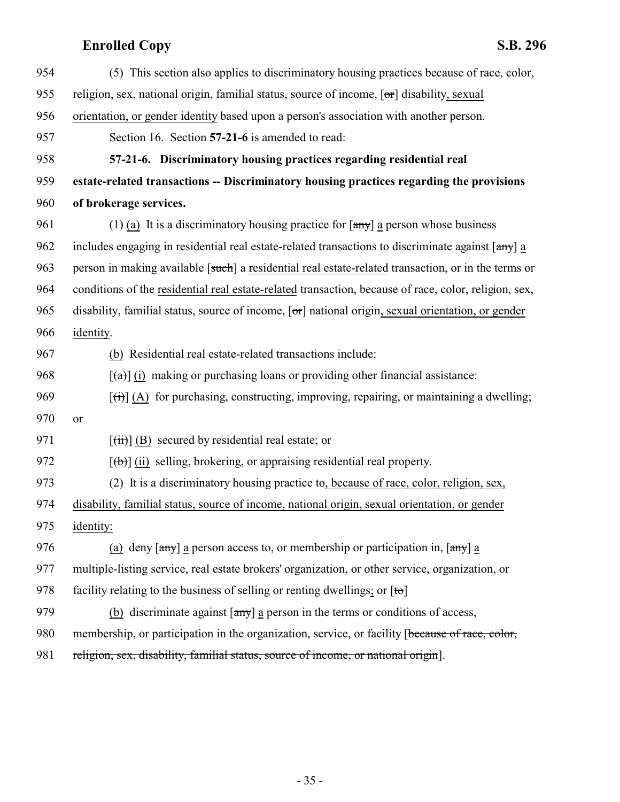<span id="page-34-0"></span>

| 954 | (5) This section also applies to discriminatory housing practices because of race, color,                                         |
|-----|-----------------------------------------------------------------------------------------------------------------------------------|
| 955 | religion, sex, national origin, familial status, source of income, [or] disability, sexual                                        |
| 956 | orientation, or gender identity based upon a person's association with another person.                                            |
| 957 | Section 16. Section 57-21-6 is amended to read:                                                                                   |
| 958 | 57-21-6. Discriminatory housing practices regarding residential real                                                              |
| 959 | estate-related transactions -- Discriminatory housing practices regarding the provisions                                          |
| 960 | of brokerage services.                                                                                                            |
| 961 | (1) (a) It is a discriminatory housing practice for $\left[\frac{any}{n}\right]$ a person whose business                          |
| 962 | includes engaging in residential real estate-related transactions to discriminate against [any] a                                 |
| 963 | person in making available [such] a residential real estate-related transaction, or in the terms or                               |
| 964 | conditions of the residential real estate-related transaction, because of race, color, religion, sex,                             |
| 965 | disability, familial status, source of income, $[\sigma\tau]$ national origin, sexual orientation, or gender                      |
| 966 | identity.                                                                                                                         |
| 967 | (b) Residential real estate-related transactions include:                                                                         |
| 968 | $\left[\frac{a}{\alpha}\right]$ (i) making or purchasing loans or providing other financial assistance:                           |
| 969 | $\left[\left(\overline{t}\right)\right]$ (A) for purchasing, constructing, improving, repairing, or maintaining a dwelling;       |
| 970 | or                                                                                                                                |
| 971 | $\overline{f(i)}$ (B) secured by residential real estate; or                                                                      |
| 972 | $[\phi]$ (ii) selling, brokering, or appraising residential real property.                                                        |
| 973 | (2) It is a discriminatory housing practice to, because of race, color, religion, sex,                                            |
| 974 | disability, familial status, source of income, national origin, sexual orientation, or gender                                     |
| 975 | identity:                                                                                                                         |
| 976 | (a) deny $\lceil \frac{amy}{amy} \rceil$ a person access to, or membership or participation in, $\lceil \frac{amy}{amy} \rceil$ a |
| 977 | multiple-listing service, real estate brokers' organization, or other service, organization, or                                   |
| 978 | facility relating to the business of selling or renting dwellings; or $[to]$                                                      |
| 979 | (b) discriminate against $\left[\frac{any}{n}\right]$ a person in the terms or conditions of access,                              |
| 980 | membership, or participation in the organization, service, or facility [because of race, color,                                   |
| 981 | religion, sex, disability, familial status, source of income, or national origin].                                                |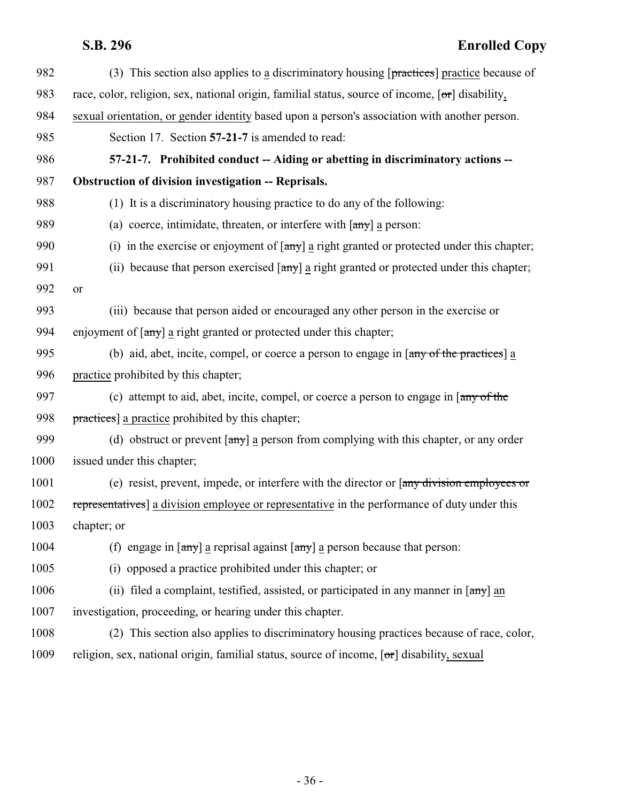<span id="page-35-0"></span>

| 982  | (3) This section also applies to a discriminatory housing $[\text{practices}]$ practice because of                         |
|------|----------------------------------------------------------------------------------------------------------------------------|
| 983  | race, color, religion, sex, national origin, familial status, source of income, $[\sigma r]$ disability,                   |
| 984  | sexual orientation, or gender identity based upon a person's association with another person.                              |
| 985  | Section 17. Section 57-21-7 is amended to read:                                                                            |
| 986  | 57-21-7. Prohibited conduct -- Aiding or abetting in discriminatory actions --                                             |
| 987  | <b>Obstruction of division investigation -- Reprisals.</b>                                                                 |
| 988  | (1) It is a discriminatory housing practice to do any of the following:                                                    |
| 989  | (a) coerce, intimidate, threaten, or interfere with $\left[\frac{any}{any}\right]$ a person:                               |
| 990  | (i) in the exercise or enjoyment of $\lceil \frac{any}{n} \rceil$ a right granted or protected under this chapter;         |
| 991  | (ii) because that person exercised $\lceil \frac{any}{n} \rceil$ a right granted or protected under this chapter;          |
| 992  | <b>or</b>                                                                                                                  |
| 993  | (iii) because that person aided or encouraged any other person in the exercise or                                          |
| 994  | enjoyment of $\lceil \frac{any}{n} \rceil$ a right granted or protected under this chapter;                                |
| 995  | (b) aid, abet, incite, compel, or coerce a person to engage in [any of the practices] a                                    |
| 996  | practice prohibited by this chapter;                                                                                       |
| 997  | (c) attempt to aid, abet, incite, compel, or coerce a person to engage in [any of the                                      |
| 998  | practices] a practice prohibited by this chapter;                                                                          |
| 999  | (d) obstruct or prevent $\lceil \frac{any}{n} \rceil$ a person from complying with this chapter, or any order              |
| 1000 | issued under this chapter;                                                                                                 |
| 1001 | (e) resist, prevent, impede, or interfere with the director or [any division employees or                                  |
| 1002 | representatives] a division employee or representative in the performance of duty under this                               |
| 1003 | chapter; or                                                                                                                |
| 1004 | (f) engage in $\lceil \frac{any}{n} \rceil$ a reprisal against $\lceil \frac{any}{n} \rceil$ a person because that person: |
| 1005 | (i) opposed a practice prohibited under this chapter; or                                                                   |
| 1006 | (ii) filed a complaint, testified, assisted, or participated in any manner in $\lceil \frac{any}{ } \rceil$ an             |
| 1007 | investigation, proceeding, or hearing under this chapter.                                                                  |
| 1008 | (2) This section also applies to discriminatory housing practices because of race, color,                                  |
| 1009 | religion, sex, national origin, familial status, source of income, [or] disability, sexual                                 |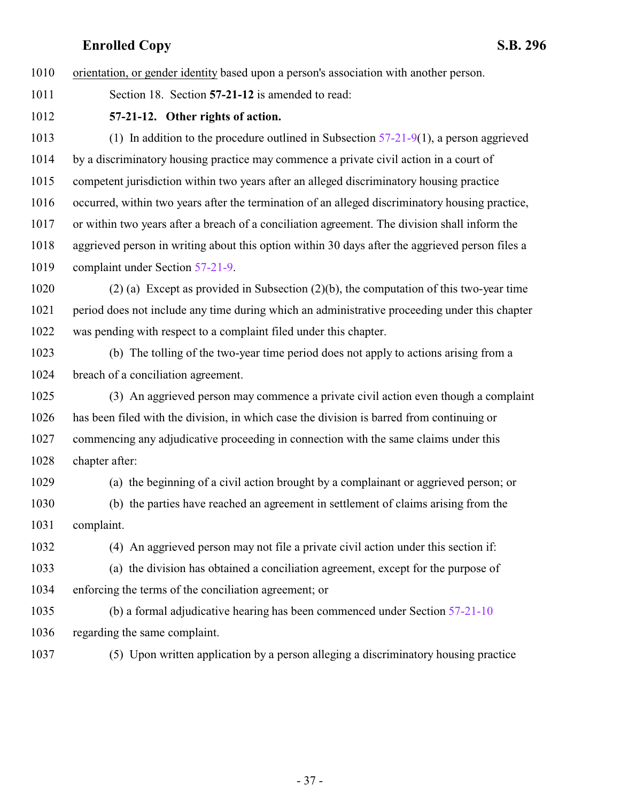orientation, or gender identity based upon a person's association with another person.

<span id="page-36-0"></span>Section 18. Section **57-21-12** is amended to read:

**57-21-12. Other rights of action.**

1013 (1) In addition to the procedure outlined in Subsection  $57-21-9(1)$ , a person aggrieved by a discriminatory housing practice may commence a private civil action in a court of competent jurisdiction within two years after an alleged discriminatory housing practice occurred, within two years after the termination of an alleged discriminatory housing practice, or within two years after a breach of a conciliation agreement. The division shall inform the aggrieved person in writing about this option within 30 days after the aggrieved person files a complaint under Section [57-21-9](http://le.utah.gov/UtahCode/SectionLookup.jsp?section=57-21-9&session=2015GS).

 (2) (a) Except as provided in Subsection (2)(b), the computation of this two-year time period does not include any time during which an administrative proceeding under this chapter was pending with respect to a complaint filed under this chapter.

 (b) The tolling of the two-year time period does not apply to actions arising from a breach of a conciliation agreement.

 (3) An aggrieved person may commence a private civil action even though a complaint has been filed with the division, in which case the division is barred from continuing or commencing any adjudicative proceeding in connection with the same claims under this chapter after:

(a) the beginning of a civil action brought by a complainant or aggrieved person; or

 (b) the parties have reached an agreement in settlement of claims arising from the complaint.

(4) An aggrieved person may not file a private civil action under this section if:

 (a) the division has obtained a conciliation agreement, except for the purpose of enforcing the terms of the conciliation agreement; or

 (b) a formal adjudicative hearing has been commenced under Section [57-21-10](http://le.utah.gov/UtahCode/SectionLookup.jsp?section=57-21-10&session=2015GS) regarding the same complaint.

(5) Upon written application by a person alleging a discriminatory housing practice